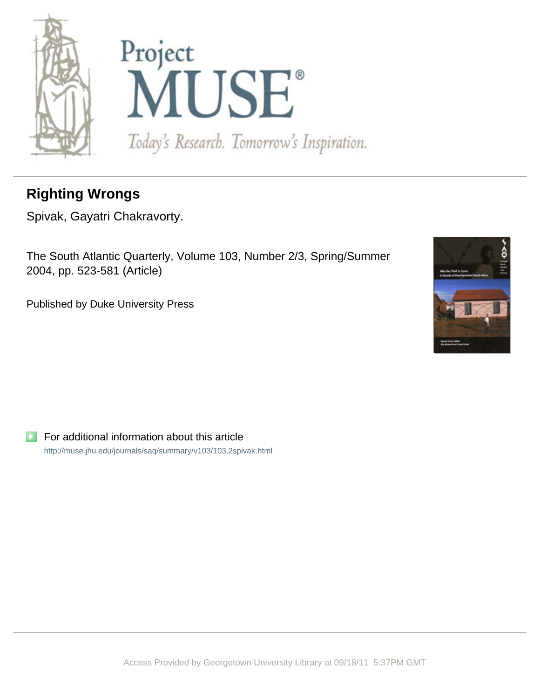



## **Righting Wrongs**

Spivak, Gayatri Chakravorty.

The South Atlantic Quarterly, Volume 103, Number 2/3, Spring/Summer 2004, pp. 523-581 (Article)

Published by Duke University Press





For additional information about this article <http://muse.jhu.edu/journals/saq/summary/v103/103.2spivak.html>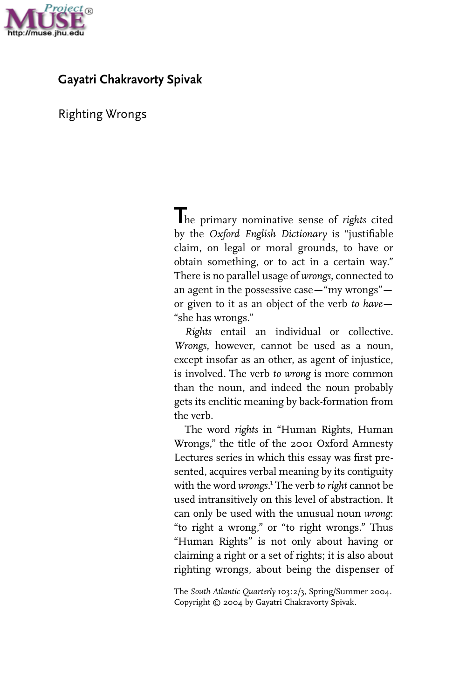

## Gayatri Chakravorty Spivak

Righting Wrongs

The primary nominative sense of rights cited by the Oxford English Dictionary is ''justifiable claim, on legal or moral grounds, to have or obtain something, or to act in a certain way.'' There is no parallel usage of wrongs, connected to an agent in the possessive case—"my wrongs" or given to it as an object of the verb to have— ''she has wrongs.''

Rights entail an individual or collective. Wrongs, however, cannot be used as a noun, except insofar as an other, as agent of injustice, is involved. The verb to wrong is more common than the noun, and indeed the noun probably gets its enclitic meaning by back-formation from the verb.

The word rights in "Human Rights, Human Wrongs,'' the title of the 2001 Oxford Amnesty Lectures series in which this essay was first presented, acquires verbal meaning by its contiguity with the word *wrongs*.<sup>1</sup> The verb to right cannot be used intransitively on this level of abstraction. It can only be used with the unusual noun wrong: ''to right a wrong,'' or ''to right wrongs.'' Thus ''Human Rights'' is not only about having or claiming a right or a set of rights; it is also about righting wrongs, about being the dispenser of

The South Atlantic Quarterly 103:2/3, Spring/Summer 2004. Copyright © 2004 by Gayatri Chakravorty Spivak.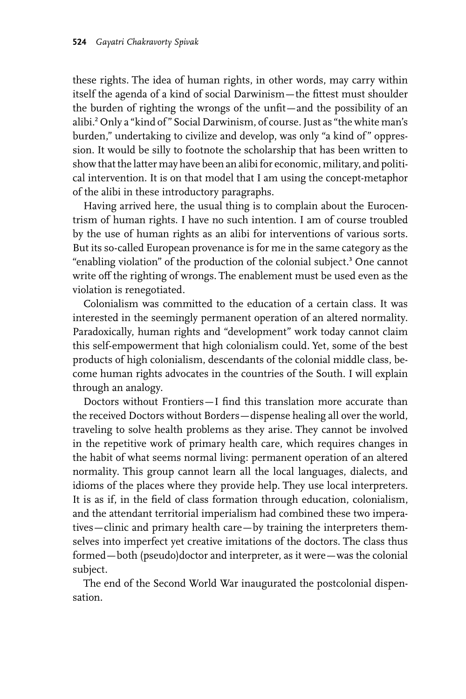these rights. The idea of human rights, in other words, may carry within itself the agenda of a kind of social Darwinism—the fittest must shoulder the burden of righting the wrongs of the unfit—and the possibility of an alibi.<sup>2</sup> Only a "kind of" Social Darwinism, of course. Just as "the white man's burden," undertaking to civilize and develop, was only "a kind of" oppression. It would be silly to footnote the scholarship that has been written to show that the latter may have been an alibi for economic, military, and political intervention. It is on that model that I am using the concept-metaphor of the alibi in these introductory paragraphs.

Having arrived here, the usual thing is to complain about the Eurocentrism of human rights. I have no such intention. I am of course troubled by the use of human rights as an alibi for interventions of various sorts. But its so-called European provenance is for me in the same category as the "enabling violation" of the production of the colonial subject.<sup>3</sup> One cannot write off the righting of wrongs. The enablement must be used even as the violation is renegotiated.

Colonialism was committed to the education of a certain class. It was interested in the seemingly permanent operation of an altered normality. Paradoxically, human rights and ''development'' work today cannot claim this self-empowerment that high colonialism could. Yet, some of the best products of high colonialism, descendants of the colonial middle class, become human rights advocates in the countries of the South. I will explain through an analogy.

Doctors without Frontiers—I find this translation more accurate than the received Doctors without Borders—dispense healing all over the world, traveling to solve health problems as they arise. They cannot be involved in the repetitive work of primary health care, which requires changes in the habit of what seems normal living: permanent operation of an altered normality. This group cannot learn all the local languages, dialects, and idioms of the places where they provide help. They use local interpreters. It is as if, in the field of class formation through education, colonialism, and the attendant territorial imperialism had combined these two imperatives—clinic and primary health care—by training the interpreters themselves into imperfect yet creative imitations of the doctors. The class thus formed—both (pseudo)doctor and interpreter, as it were—was the colonial subject.

The end of the Second World War inaugurated the postcolonial dispensation.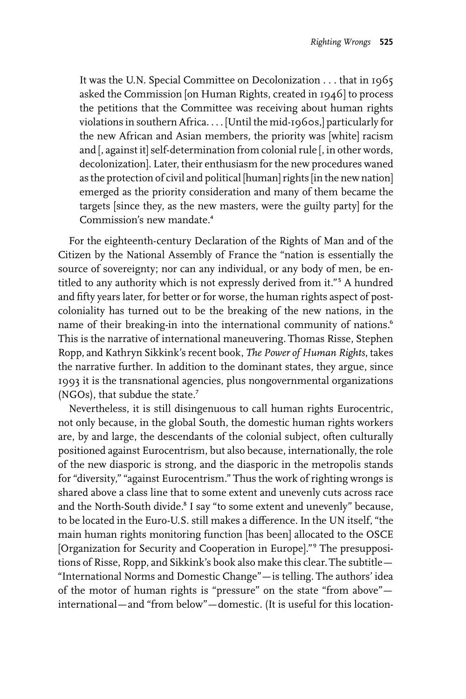It was the U.N. Special Committee on Decolonization... that in 1965 asked the Commission [on Human Rights, created in 1946] to process the petitions that the Committee was receiving about human rights violations in southern Africa. . . . [Until the mid-1960s,] particularly for the new African and Asian members, the priority was [white] racism and [, against it] self-determination from colonial rule [, in other words, decolonization]. Later, their enthusiasm for the new procedures waned as the protection of civil and political [human] rights [in the new nation] emerged as the priority consideration and many of them became the targets [since they, as the new masters, were the guilty party] for the Commission's new mandate.4

For the eighteenth-century Declaration of the Rights of Man and of the Citizen by the National Assembly of France the ''nation is essentially the source of sovereignty; nor can any individual, or any body of men, be entitled to any authority which is not expressly derived from it."<sup>5</sup> A hundred and fifty years later, for better or for worse, the human rights aspect of postcoloniality has turned out to be the breaking of the new nations, in the name of their breaking-in into the international community of nations.<sup>6</sup> This is the narrative of international maneuvering. Thomas Risse, Stephen Ropp, and Kathryn Sikkink's recent book, The Power of Human Rights, takes the narrative further. In addition to the dominant states, they argue, since 1993 it is the transnational agencies, plus nongovernmental organizations (NGOs), that subdue the state.<sup>7</sup>

Nevertheless, it is still disingenuous to call human rights Eurocentric, not only because, in the global South, the domestic human rights workers are, by and large, the descendants of the colonial subject, often culturally positioned against Eurocentrism, but also because, internationally, the role of the new diasporic is strong, and the diasporic in the metropolis stands for "diversity," "against Eurocentrism." Thus the work of righting wrongs is shared above a class line that to some extent and unevenly cuts across race and the North-South divide.<sup>8</sup> I say "to some extent and unevenly" because, to be located in the Euro-U.S. still makes a difference. In the UN itself, ''the main human rights monitoring function [has been] allocated to the OSCE [Organization for Security and Cooperation in Europe].''9 The presuppositions of Risse, Ropp, and Sikkink's book also make this clear. The subtitle— ''International Norms and Domestic Change''—is telling. The authors' idea of the motor of human rights is "pressure" on the state "from above"international—and "from below"—domestic. (It is useful for this location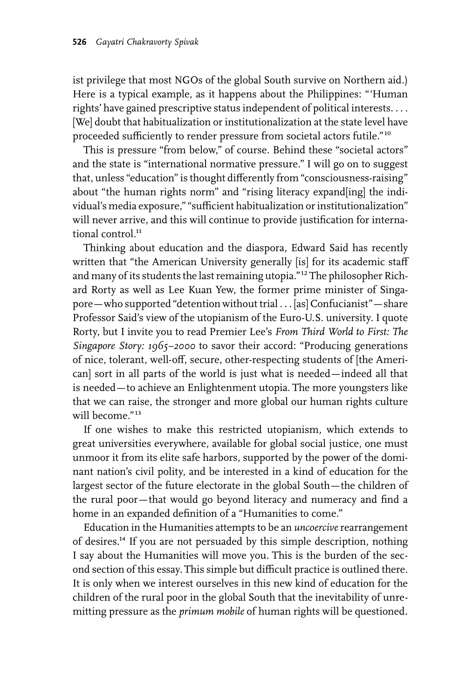ist privilege that most NGOs of the global South survive on Northern aid.) Here is a typical example, as it happens about the Philippines: '''Human rights' have gained prescriptive status independent of political interests.... [We] doubt that habitualization or institutionalization at the state level have proceeded sufficiently to render pressure from societal actors futile.''10

This is pressure "from below," of course. Behind these "societal actors" and the state is ''international normative pressure.'' I will go on to suggest that, unless "education" is thought differently from "consciousness-raising" about "the human rights norm" and "rising literacy expand[ing] the individual's media exposure," "sufficient habitualization or institutionalization" will never arrive, and this will continue to provide justification for international control.<sup>11</sup>

Thinking about education and the diaspora, Edward Said has recently written that "the American University generally [is] for its academic staff and many of its students the last remaining utopia."<sup>12</sup> The philosopher Richard Rorty as well as Lee Kuan Yew, the former prime minister of Singapore—who supported ''detention without trial . . . [as] Confucianist''—share Professor Said's view of the utopianism of the Euro-U.S. university. I quote Rorty, but I invite you to read Premier Lee's From Third World to First: The Singapore Story: 1965–2000 to savor their accord: ''Producing generations of nice, tolerant, well-off, secure, other-respecting students of [the American] sort in all parts of the world is just what is needed—indeed all that is needed—to achieve an Enlightenment utopia. The more youngsters like that we can raise, the stronger and more global our human rights culture will become."<sup>13</sup>

If one wishes to make this restricted utopianism, which extends to great universities everywhere, available for global social justice, one must unmoor it from its elite safe harbors, supported by the power of the dominant nation's civil polity, and be interested in a kind of education for the largest sector of the future electorate in the global South—the children of the rural poor—that would go beyond literacy and numeracy and find a home in an expanded definition of a "Humanities to come."

Education in the Humanities attempts to be an uncoercive rearrangement of desires.<sup>14</sup> If you are not persuaded by this simple description, nothing I say about the Humanities will move you. This is the burden of the second section of this essay. This simple but difficult practice is outlined there. It is only when we interest ourselves in this new kind of education for the children of the rural poor in the global South that the inevitability of unremitting pressure as the *primum mobile* of human rights will be questioned.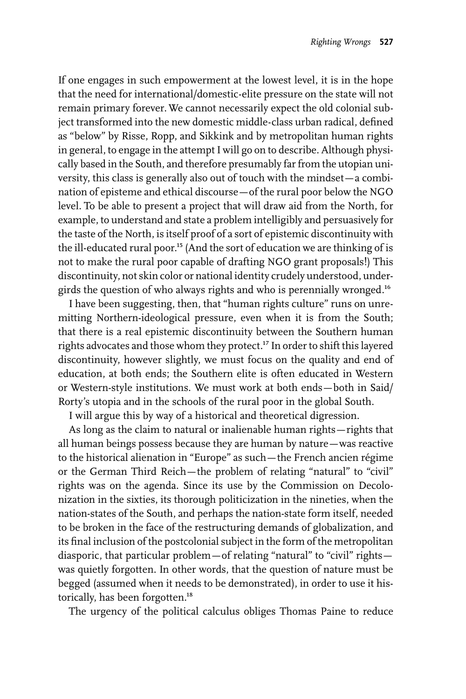If one engages in such empowerment at the lowest level, it is in the hope that the need for international/domestic-elite pressure on the state will not remain primary forever.We cannot necessarily expect the old colonial subject transformed into the new domestic middle-class urban radical, defined as ''below'' by Risse, Ropp, and Sikkink and by metropolitan human rights in general, to engage in the attempt I will go on to describe. Although physically based in the South, and therefore presumably far from the utopian university, this class is generally also out of touch with the mindset—a combination of episteme and ethical discourse—of the rural poor below the NGO level. To be able to present a project that will draw aid from the North, for example, to understand and state a problem intelligibly and persuasively for the taste of the North, is itself proof of a sort of epistemic discontinuity with the ill-educated rural poor.<sup>15</sup> (And the sort of education we are thinking of is not to make the rural poor capable of drafting NGO grant proposals!) This discontinuity, not skin color or national identity crudely understood, undergirds the question of who always rights and who is perennially wronged.16

I have been suggesting, then, that ''human rights culture'' runs on unremitting Northern-ideological pressure, even when it is from the South; that there is a real epistemic discontinuity between the Southern human rights advocates and those whom they protect.<sup>17</sup> In order to shift this layered discontinuity, however slightly, we must focus on the quality and end of education, at both ends; the Southern elite is often educated in Western or Western-style institutions. We must work at both ends—both in Said/ Rorty's utopia and in the schools of the rural poor in the global South.

I will argue this by way of a historical and theoretical digression.

As long as the claim to natural or inalienable human rights—rights that all human beings possess because they are human by nature—was reactive to the historical alienation in ''Europe'' as such—the French ancien régime or the German Third Reich-the problem of relating "natural" to "civil" rights was on the agenda. Since its use by the Commission on Decolonization in the sixties, its thorough politicization in the nineties, when the nation-states of the South, and perhaps the nation-state form itself, needed to be broken in the face of the restructuring demands of globalization, and its final inclusion of the postcolonial subject in the form of the metropolitan diasporic, that particular problem—of relating "natural" to "civil" rights was quietly forgotten. In other words, that the question of nature must be begged (assumed when it needs to be demonstrated), in order to use it historically, has been forgotten.<sup>18</sup>

The urgency of the political calculus obliges Thomas Paine to reduce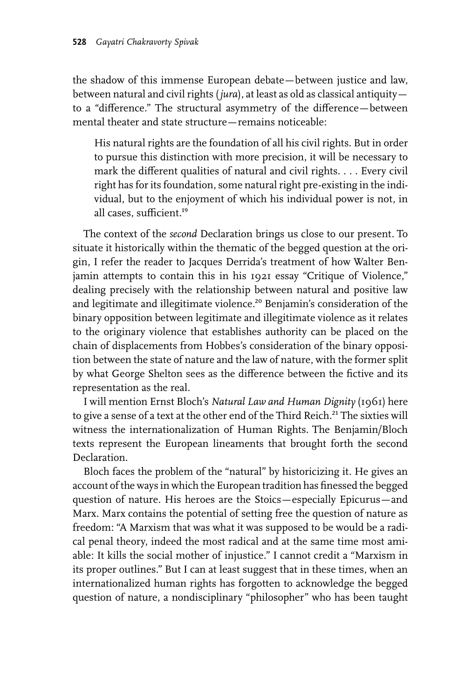the shadow of this immense European debate—between justice and law, between natural and civil rights ( $jura$ ), at least as old as classical antiquityto a ''difference.'' The structural asymmetry of the difference—between mental theater and state structure—remains noticeable:

His natural rights are the foundation of all his civil rights. But in order to pursue this distinction with more precision, it will be necessary to mark the different qualities of natural and civil rights.... Every civil right has for its foundation, some natural right pre-existing in the individual, but to the enjoyment of which his individual power is not, in all cases, sufficient.<sup>19</sup>

The context of the second Declaration brings us close to our present. To situate it historically within the thematic of the begged question at the origin, I refer the reader to Jacques Derrida's treatment of how Walter Benjamin attempts to contain this in his 1921 essay ''Critique of Violence,'' dealing precisely with the relationship between natural and positive law and legitimate and illegitimate violence.<sup>20</sup> Benjamin's consideration of the binary opposition between legitimate and illegitimate violence as it relates to the originary violence that establishes authority can be placed on the chain of displacements from Hobbes's consideration of the binary opposition between the state of nature and the law of nature, with the former split by what George Shelton sees as the difference between the fictive and its representation as the real.

I will mention Ernst Bloch's Natural Law and Human Dignity (1961) here to give a sense of a text at the other end of the Third Reich.<sup>21</sup> The sixties will witness the internationalization of Human Rights. The Benjamin/Bloch texts represent the European lineaments that brought forth the second Declaration.

Bloch faces the problem of the "natural" by historicizing it. He gives an account of the ways in which the European tradition has finessed the begged question of nature. His heroes are the Stoics—especially Epicurus—and Marx. Marx contains the potential of setting free the question of nature as freedom: "A Marxism that was what it was supposed to be would be a radical penal theory, indeed the most radical and at the same time most amiable: It kills the social mother of injustice.'' I cannot credit a ''Marxism in its proper outlines.'' But I can at least suggest that in these times, when an internationalized human rights has forgotten to acknowledge the begged question of nature, a nondisciplinary "philosopher" who has been taught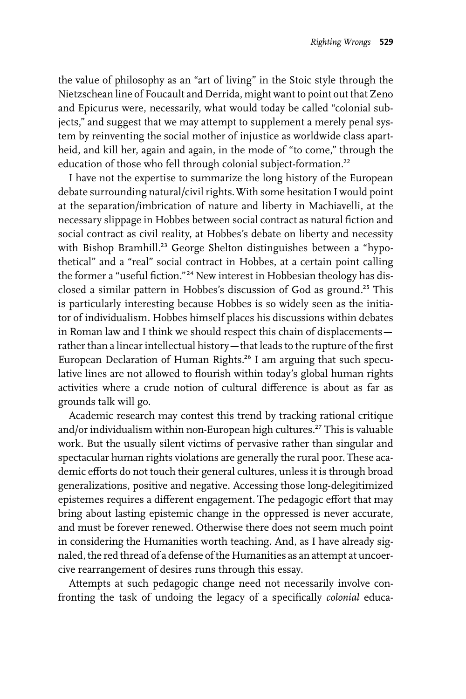the value of philosophy as an "art of living" in the Stoic style through the Nietzschean line of Foucault and Derrida, might want to point out that Zeno and Epicurus were, necessarily, what would today be called ''colonial subjects," and suggest that we may attempt to supplement a merely penal system by reinventing the social mother of injustice as worldwide class apartheid, and kill her, again and again, in the mode of "to come," through the education of those who fell through colonial subject-formation.<sup>22</sup>

I have not the expertise to summarize the long history of the European debate surrounding natural/civil rights.With some hesitation I would point at the separation/imbrication of nature and liberty in Machiavelli, at the necessary slippage in Hobbes between social contract as natural fiction and social contract as civil reality, at Hobbes's debate on liberty and necessity with Bishop Bramhill.<sup>23</sup> George Shelton distinguishes between a "hypothetical" and a "real" social contract in Hobbes, at a certain point calling the former a "useful fiction."<sup>24</sup> New interest in Hobbesian theology has disclosed a similar pattern in Hobbes's discussion of God as ground.<sup>25</sup> This is particularly interesting because Hobbes is so widely seen as the initiator of individualism. Hobbes himself places his discussions within debates in Roman law and I think we should respect this chain of displacements rather than a linear intellectual history—that leads to the rupture of the first European Declaration of Human Rights.<sup>26</sup> I am arguing that such speculative lines are not allowed to flourish within today's global human rights activities where a crude notion of cultural difference is about as far as grounds talk will go.

Academic research may contest this trend by tracking rational critique and/or individualism within non-European high cultures.<sup>27</sup> This is valuable work. But the usually silent victims of pervasive rather than singular and spectacular human rights violations are generally the rural poor. These academic efforts do not touch their general cultures, unless it is through broad generalizations, positive and negative. Accessing those long-delegitimized epistemes requires a different engagement. The pedagogic effort that may bring about lasting epistemic change in the oppressed is never accurate, and must be forever renewed. Otherwise there does not seem much point in considering the Humanities worth teaching. And, as I have already signaled, the red thread of a defense of the Humanities as an attempt at uncoercive rearrangement of desires runs through this essay.

Attempts at such pedagogic change need not necessarily involve confronting the task of undoing the legacy of a specifically colonial educa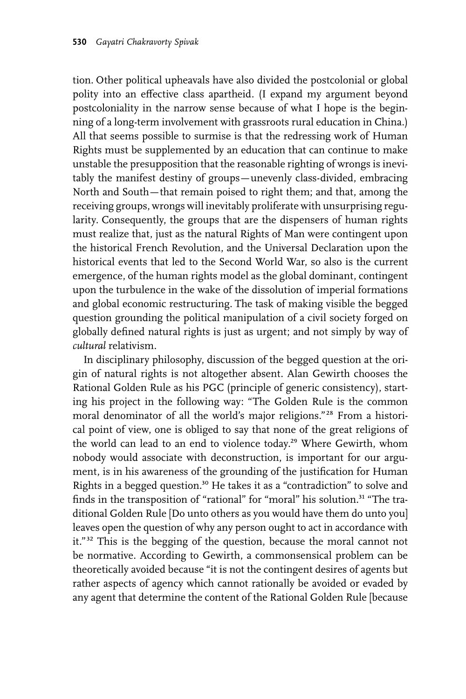tion. Other political upheavals have also divided the postcolonial or global polity into an effective class apartheid. (I expand my argument beyond postcoloniality in the narrow sense because of what I hope is the beginning of a long-term involvement with grassroots rural education in China.) All that seems possible to surmise is that the redressing work of Human Rights must be supplemented by an education that can continue to make unstable the presupposition that the reasonable righting of wrongs is inevitably the manifest destiny of groups—unevenly class-divided, embracing North and South—that remain poised to right them; and that, among the receiving groups, wrongs will inevitably proliferate with unsurprising regularity. Consequently, the groups that are the dispensers of human rights must realize that, just as the natural Rights of Man were contingent upon the historical French Revolution, and the Universal Declaration upon the historical events that led to the Second World War, so also is the current emergence, of the human rights model as the global dominant, contingent upon the turbulence in the wake of the dissolution of imperial formations and global economic restructuring. The task of making visible the begged question grounding the political manipulation of a civil society forged on globally defined natural rights is just as urgent; and not simply by way of cultural relativism.

In disciplinary philosophy, discussion of the begged question at the origin of natural rights is not altogether absent. Alan Gewirth chooses the Rational Golden Rule as his PGC (principle of generic consistency), starting his project in the following way: ''The Golden Rule is the common moral denominator of all the world's major religions."<sup>28</sup> From a historical point of view, one is obliged to say that none of the great religions of the world can lead to an end to violence today.<sup>29</sup> Where Gewirth, whom nobody would associate with deconstruction, is important for our argument, is in his awareness of the grounding of the justification for Human Rights in a begged question.<sup>30</sup> He takes it as a "contradiction" to solve and finds in the transposition of "rational" for "moral" his solution.<sup>31</sup> "The traditional Golden Rule [Do unto others as you would have them do unto you] leaves open the question of why any person ought to act in accordance with it."<sup>32</sup> This is the begging of the question, because the moral cannot not be normative. According to Gewirth, a commonsensical problem can be theoretically avoided because ''it is not the contingent desires of agents but rather aspects of agency which cannot rationally be avoided or evaded by any agent that determine the content of the Rational Golden Rule [because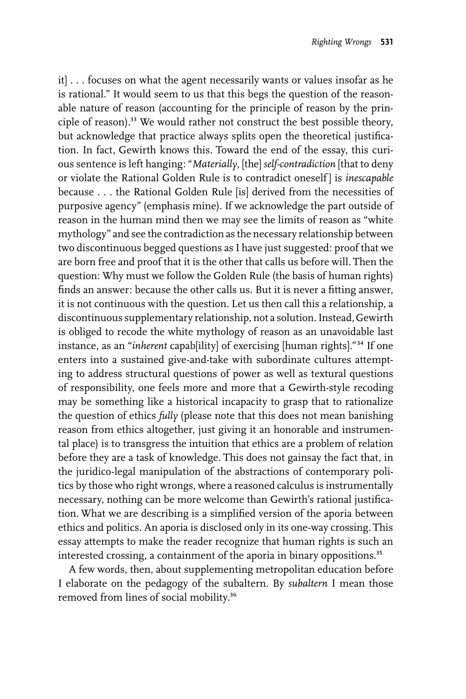it] . . . focuses on what the agent necessarily wants or values insofar as he is rational.'' It would seem to us that this begs the question of the reasonable nature of reason (accounting for the principle of reason by the principle of reason).<sup>33</sup> We would rather not construct the best possible theory, but acknowledge that practice always splits open the theoretical justification. In fact, Gewirth knows this. Toward the end of the essay, this curious sentence is left hanging: ''Materially, [the] self-contradiction [that to deny or violate the Rational Golden Rule is to contradict oneself ais inescapable because . . . the Rational Golden Rule [is] derived from the necessities of purposive agency'' (emphasis mine). If we acknowledge the part outside of reason in the human mind then we may see the limits of reason as ''white mythology'' and see the contradiction as the necessary relationship between two discontinuous begged questions as I have just suggested: proof that we are born free and proof that it is the other that calls us before will. Then the question: Why must we follow the Golden Rule (the basis of human rights) finds an answer: because the other calls us. But it is never a fitting answer, it is not continuous with the question. Let us then call this a relationship, a discontinuous supplementary relationship, not a solution. Instead,Gewirth is obliged to recode the white mythology of reason as an unavoidable last instance, as an "inherent capab[ility] of exercising [human rights]."<sup>34</sup> If one enters into a sustained give-and-take with subordinate cultures attempting to address structural questions of power as well as textural questions of responsibility, one feels more and more that a Gewirth-style recoding may be something like a historical incapacity to grasp that to rationalize the question of ethics fully (please note that this does not mean banishing reason from ethics altogether, just giving it an honorable and instrumental place) is to transgress the intuition that ethics are a problem of relation before they are a task of knowledge. This does not gainsay the fact that, in the juridico-legal manipulation of the abstractions of contemporary politics by those who right wrongs, where a reasoned calculus is instrumentally necessary, nothing can be more welcome than Gewirth's rational justification. What we are describing is a simplified version of the aporia between ethics and politics. An aporia is disclosed only in its one-way crossing. This essay attempts to make the reader recognize that human rights is such an interested crossing, a containment of the aporia in binary oppositions.<sup>35</sup>

A few words, then, about supplementing metropolitan education before I elaborate on the pedagogy of the subaltern. By subaltern I mean those removed from lines of social mobility.36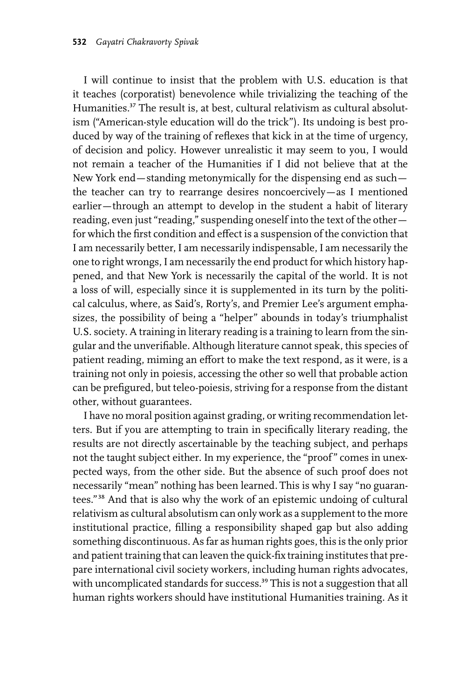I will continue to insist that the problem with U.S. education is that it teaches (corporatist) benevolence while trivializing the teaching of the Humanities.<sup>37</sup> The result is, at best, cultural relativism as cultural absolutism (''American-style education will do the trick''). Its undoing is best produced by way of the training of reflexes that kick in at the time of urgency, of decision and policy. However unrealistic it may seem to you, I would not remain a teacher of the Humanities if I did not believe that at the New York end—standing metonymically for the dispensing end as such the teacher can try to rearrange desires noncoercively—as I mentioned earlier—through an attempt to develop in the student a habit of literary reading, even just "reading," suspending oneself into the text of the other for which the first condition and effect is a suspension of the conviction that I am necessarily better, I am necessarily indispensable, I am necessarily the one to right wrongs, I am necessarily the end product for which history happened, and that New York is necessarily the capital of the world. It is not a loss of will, especially since it is supplemented in its turn by the political calculus, where, as Said's, Rorty's, and Premier Lee's argument emphasizes, the possibility of being a ''helper'' abounds in today's triumphalist U.S. society. A training in literary reading is a training to learn from the singular and the unverifiable. Although literature cannot speak, this species of patient reading, miming an effort to make the text respond, as it were, is a training not only in poiesis, accessing the other so well that probable action can be prefigured, but teleo-poiesis, striving for a response from the distant other, without guarantees.

I have no moral position against grading, or writing recommendation letters. But if you are attempting to train in specifically literary reading, the results are not directly ascertainable by the teaching subject, and perhaps not the taught subject either. In my experience, the "proof" comes in unexpected ways, from the other side. But the absence of such proof does not necessarily ''mean'' nothing has been learned. This is why I say ''no guarantees.''38 And that is also why the work of an epistemic undoing of cultural relativism as cultural absolutism can only work as a supplement to the more institutional practice, filling a responsibility shaped gap but also adding something discontinuous. As far as human rights goes, this is the only prior and patient training that can leaven the quick-fix training institutes that prepare international civil society workers, including human rights advocates, with uncomplicated standards for success.<sup>39</sup> This is not a suggestion that all human rights workers should have institutional Humanities training. As it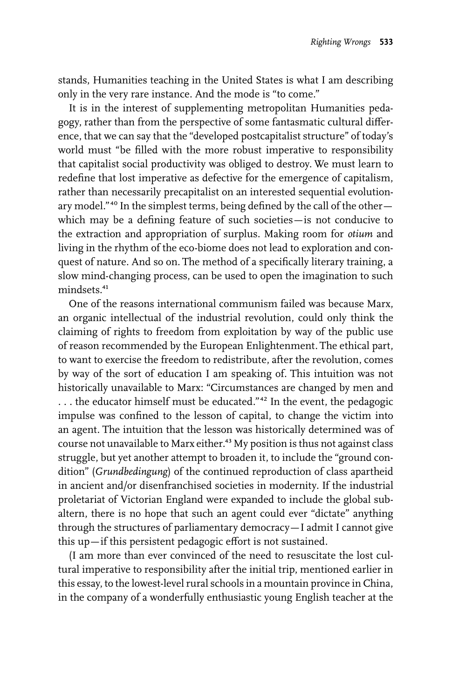stands, Humanities teaching in the United States is what I am describing only in the very rare instance. And the mode is ''to come.''

It is in the interest of supplementing metropolitan Humanities pedagogy, rather than from the perspective of some fantasmatic cultural difference, that we can say that the "developed postcapitalist structure" of today's world must "be filled with the more robust imperative to responsibility that capitalist social productivity was obliged to destroy. We must learn to redefine that lost imperative as defective for the emergence of capitalism, rather than necessarily precapitalist on an interested sequential evolutionary model.''40 In the simplest terms, being defined by the call of the other which may be a defining feature of such societies—is not conducive to the extraction and appropriation of surplus. Making room for otium and living in the rhythm of the eco-biome does not lead to exploration and conquest of nature. And so on. The method of a specifically literary training, a slow mind-changing process, can be used to open the imagination to such mindsets.41

One of the reasons international communism failed was because Marx, an organic intellectual of the industrial revolution, could only think the claiming of rights to freedom from exploitation by way of the public use of reason recommended by the European Enlightenment. The ethical part, to want to exercise the freedom to redistribute, after the revolution, comes by way of the sort of education I am speaking of. This intuition was not historically unavailable to Marx: "Circumstances are changed by men and  $\dots$  the educator himself must be educated."<sup>42</sup> In the event, the pedagogic impulse was confined to the lesson of capital, to change the victim into an agent. The intuition that the lesson was historically determined was of course not unavailable to Marx either.<sup>43</sup> My position is thus not against class struggle, but yet another attempt to broaden it, to include the "ground condition'' (Grundbedingung) of the continued reproduction of class apartheid in ancient and/or disenfranchised societies in modernity. If the industrial proletariat of Victorian England were expanded to include the global subaltern, there is no hope that such an agent could ever "dictate" anything through the structures of parliamentary democracy—I admit I cannot give this up—if this persistent pedagogic effort is not sustained.

(I am more than ever convinced of the need to resuscitate the lost cultural imperative to responsibility after the initial trip, mentioned earlier in this essay, to the lowest-level rural schools in a mountain province in China, in the company of a wonderfully enthusiastic young English teacher at the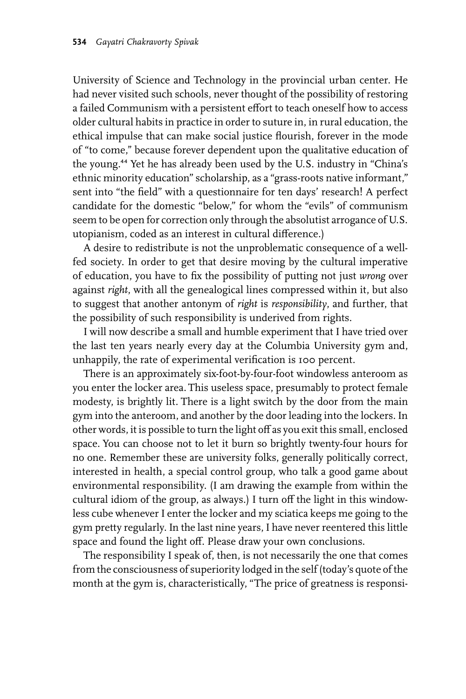University of Science and Technology in the provincial urban center. He had never visited such schools, never thought of the possibility of restoring a failed Communism with a persistent effort to teach oneself how to access older cultural habits in practice in order to suture in, in rural education, the ethical impulse that can make social justice flourish, forever in the mode of ''to come,'' because forever dependent upon the qualitative education of the young.<sup>44</sup> Yet he has already been used by the U.S. industry in "China's ethnic minority education" scholarship, as a "grass-roots native informant," sent into "the field" with a questionnaire for ten days' research! A perfect candidate for the domestic "below," for whom the "evils" of communism seem to be open for correction only through the absolutist arrogance of U.S. utopianism, coded as an interest in cultural difference.)

A desire to redistribute is not the unproblematic consequence of a wellfed society. In order to get that desire moving by the cultural imperative of education, you have to fix the possibility of putting not just wrong over against right, with all the genealogical lines compressed within it, but also to suggest that another antonym of right is responsibility, and further, that the possibility of such responsibility is underived from rights.

I will now describe a small and humble experiment that I have tried over the last ten years nearly every day at the Columbia University gym and, unhappily, the rate of experimental verification is 100 percent.

There is an approximately six-foot-by-four-foot windowless anteroom as you enter the locker area. This useless space, presumably to protect female modesty, is brightly lit. There is a light switch by the door from the main gym into the anteroom, and another by the door leading into the lockers. In other words, it is possible to turn the light off as you exit this small, enclosed space. You can choose not to let it burn so brightly twenty-four hours for no one. Remember these are university folks, generally politically correct, interested in health, a special control group, who talk a good game about environmental responsibility. (I am drawing the example from within the cultural idiom of the group, as always.) I turn off the light in this windowless cube whenever I enter the locker and my sciatica keeps me going to the gym pretty regularly. In the last nine years, I have never reentered this little space and found the light off. Please draw your own conclusions.

The responsibility I speak of, then, is not necessarily the one that comes from the consciousness of superiority lodged in the self (today's quote of the month at the gym is, characteristically, ''The price of greatness is responsi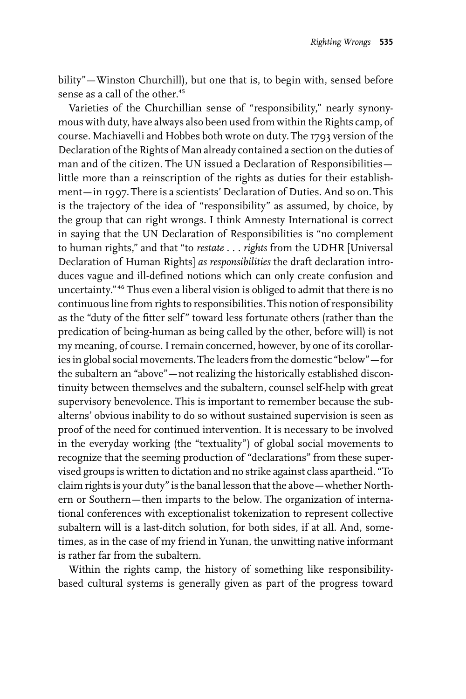bility''—Winston Churchill), but one that is, to begin with, sensed before sense as a call of the other.<sup>45</sup>

Varieties of the Churchillian sense of "responsibility," nearly synonymous with duty, have always also been used from within the Rights camp, of course. Machiavelli and Hobbes both wrote on duty. The 1793 version of the Declaration of the Rights of Man already contained a section on the duties of man and of the citizen. The UN issued a Declaration of Responsibilities little more than a reinscription of the rights as duties for their establishment—in 1997. There is a scientists' Declaration of Duties. And so on. This is the trajectory of the idea of ''responsibility'' as assumed, by choice, by the group that can right wrongs. I think Amnesty International is correct in saying that the UN Declaration of Responsibilities is ''no complement to human rights," and that "to restate . . . rights from the UDHR [Universal Declaration of Human Rights] as responsibilities the draft declaration introduces vague and ill-defined notions which can only create confusion and uncertainty.''46 Thus even a liberal vision is obliged to admit that there is no continuous line from rights to responsibilities.This notion of responsibility as the "duty of the fitter self" toward less fortunate others (rather than the predication of being-human as being called by the other, before will) is not my meaning, of course. I remain concerned, however, by one of its corollaries in global social movements.The leaders from the domestic ''below''—for the subaltern an ''above''—not realizing the historically established discontinuity between themselves and the subaltern, counsel self-help with great supervisory benevolence. This is important to remember because the subalterns' obvious inability to do so without sustained supervision is seen as proof of the need for continued intervention. It is necessary to be involved in the everyday working (the "textuality") of global social movements to recognize that the seeming production of "declarations" from these supervised groups is written to dictation and no strike against class apartheid. ''To claim rights is your duty'' is the banal lesson that the above—whether Northern or Southern—then imparts to the below. The organization of international conferences with exceptionalist tokenization to represent collective subaltern will is a last-ditch solution, for both sides, if at all. And, sometimes, as in the case of my friend in Yunan, the unwitting native informant is rather far from the subaltern.

Within the rights camp, the history of something like responsibilitybased cultural systems is generally given as part of the progress toward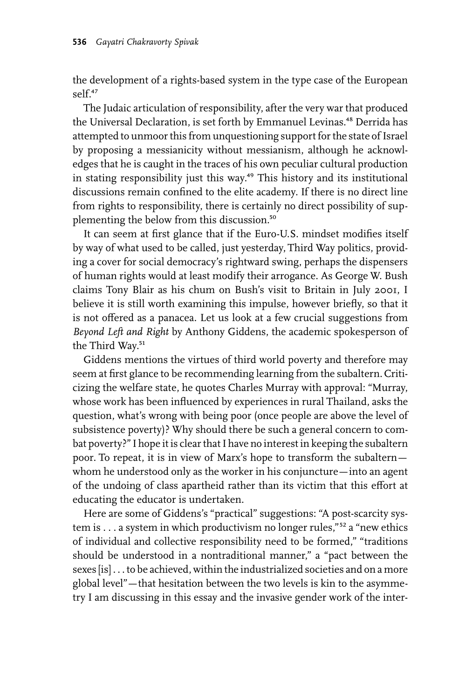the development of a rights-based system in the type case of the European self.<sup>47</sup>

The Judaic articulation of responsibility, after the very war that produced the Universal Declaration, is set forth by Emmanuel Levinas.<sup>48</sup> Derrida has attempted to unmoor this from unquestioning support for the state of Israel by proposing a messianicity without messianism, although he acknowledges that he is caught in the traces of his own peculiar cultural production in stating responsibility just this way.<sup>49</sup> This history and its institutional discussions remain confined to the elite academy. If there is no direct line from rights to responsibility, there is certainly no direct possibility of supplementing the below from this discussion.50

It can seem at first glance that if the Euro-U.S. mindset modifies itself by way of what used to be called, just yesterday, Third Way politics, providing a cover for social democracy's rightward swing, perhaps the dispensers of human rights would at least modify their arrogance. As George W. Bush claims Tony Blair as his chum on Bush's visit to Britain in July 2001, I believe it is still worth examining this impulse, however briefly, so that it is not offered as a panacea. Let us look at a few crucial suggestions from Beyond Left and Right by Anthony Giddens, the academic spokesperson of the Third Way.<sup>51</sup>

Giddens mentions the virtues of third world poverty and therefore may seem at first glance to be recommending learning from the subaltern. Criticizing the welfare state, he quotes Charles Murray with approval: ''Murray, whose work has been influenced by experiences in rural Thailand, asks the question, what's wrong with being poor (once people are above the level of subsistence poverty)? Why should there be such a general concern to combat poverty?'' I hope it is clear that I have no interest in keeping the subaltern poor. To repeat, it is in view of Marx's hope to transform the subaltern whom he understood only as the worker in his conjuncture—into an agent of the undoing of class apartheid rather than its victim that this effort at educating the educator is undertaken.

Here are some of Giddens's "practical" suggestions: "A post-scarcity system is  $\dots$  a system in which productivism no longer rules,"<sup>52</sup> a "new ethics of individual and collective responsibility need to be formed," "traditions should be understood in a nontraditional manner,'' a ''pact between the sexes [is] . . . to be achieved, within the industrialized societies and on a more global level''—that hesitation between the two levels is kin to the asymmetry I am discussing in this essay and the invasive gender work of the inter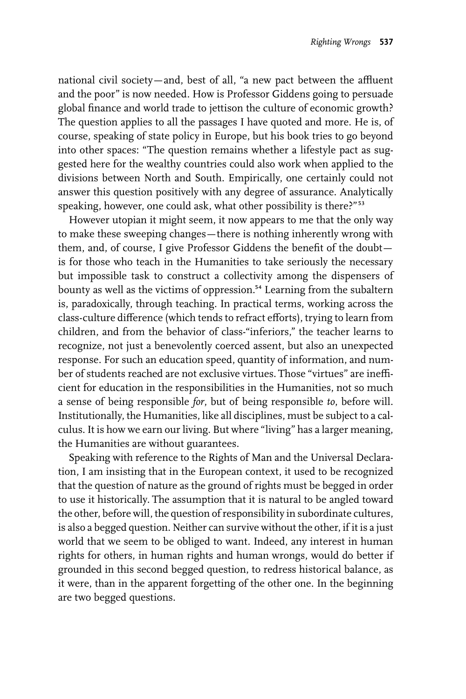national civil society—and, best of all, "a new pact between the affluent and the poor'' is now needed. How is Professor Giddens going to persuade global finance and world trade to jettison the culture of economic growth? The question applies to all the passages I have quoted and more. He is, of course, speaking of state policy in Europe, but his book tries to go beyond into other spaces: "The question remains whether a lifestyle pact as suggested here for the wealthy countries could also work when applied to the divisions between North and South. Empirically, one certainly could not answer this question positively with any degree of assurance. Analytically speaking, however, one could ask, what other possibility is there?"<sup>53</sup>

However utopian it might seem, it now appears to me that the only way to make these sweeping changes—there is nothing inherently wrong with them, and, of course, I give Professor Giddens the benefit of the doubt is for those who teach in the Humanities to take seriously the necessary but impossible task to construct a collectivity among the dispensers of bounty as well as the victims of oppression.<sup>54</sup> Learning from the subaltern is, paradoxically, through teaching. In practical terms, working across the class-culture difference (which tends to refract efforts), trying to learn from children, and from the behavior of class-''inferiors,'' the teacher learns to recognize, not just a benevolently coerced assent, but also an unexpected response. For such an education speed, quantity of information, and number of students reached are not exclusive virtues. Those ''virtues'' are inefficient for education in the responsibilities in the Humanities, not so much a sense of being responsible for, but of being responsible to, before will. Institutionally, the Humanities, like all disciplines, must be subject to a calculus. It is how we earn our living. But where ''living'' has a larger meaning, the Humanities are without guarantees.

Speaking with reference to the Rights of Man and the Universal Declaration, I am insisting that in the European context, it used to be recognized that the question of nature as the ground of rights must be begged in order to use it historically. The assumption that it is natural to be angled toward the other, before will, the question of responsibility in subordinate cultures, is also a begged question. Neither can survive without the other, if it is a just world that we seem to be obliged to want. Indeed, any interest in human rights for others, in human rights and human wrongs, would do better if grounded in this second begged question, to redress historical balance, as it were, than in the apparent forgetting of the other one. In the beginning are two begged questions.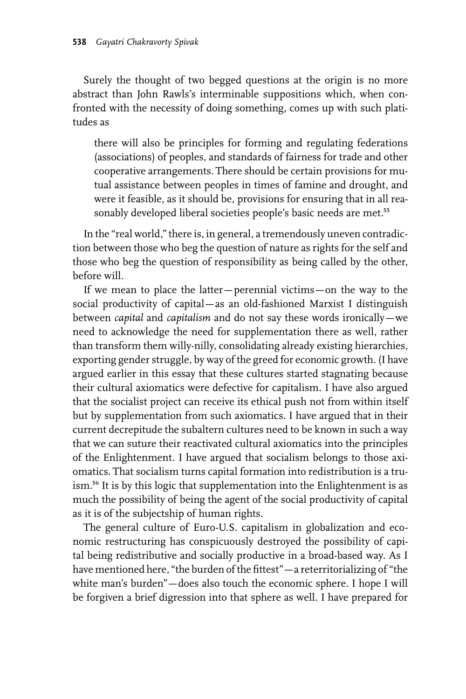Surely the thought of two begged questions at the origin is no more abstract than John Rawls's interminable suppositions which, when confronted with the necessity of doing something, comes up with such platitudes as

there will also be principles for forming and regulating federations (associations) of peoples, and standards of fairness for trade and other cooperative arrangements. There should be certain provisions for mutual assistance between peoples in times of famine and drought, and were it feasible, as it should be, provisions for ensuring that in all reasonably developed liberal societies people's basic needs are met.<sup>55</sup>

In the "real world," there is, in general, a tremendously uneven contradiction between those who beg the question of nature as rights for the self and those who beg the question of responsibility as being called by the other, before will.

If we mean to place the latter—perennial victims—on the way to the social productivity of capital—as an old-fashioned Marxist I distinguish between capital and capitalism and do not say these words ironically—we need to acknowledge the need for supplementation there as well, rather than transform them willy-nilly, consolidating already existing hierarchies, exporting gender struggle, by way of the greed for economic growth. (I have argued earlier in this essay that these cultures started stagnating because their cultural axiomatics were defective for capitalism. I have also argued that the socialist project can receive its ethical push not from within itself but by supplementation from such axiomatics. I have argued that in their current decrepitude the subaltern cultures need to be known in such a way that we can suture their reactivated cultural axiomatics into the principles of the Enlightenment. I have argued that socialism belongs to those axiomatics. That socialism turns capital formation into redistribution is a truism.<sup>56</sup> It is by this logic that supplementation into the Enlightenment is as much the possibility of being the agent of the social productivity of capital as it is of the subjectship of human rights.

The general culture of Euro-U.S. capitalism in globalization and economic restructuring has conspicuously destroyed the possibility of capital being redistributive and socially productive in a broad-based way. As I have mentioned here, ''the burden of the fittest''—a reterritorializing of ''the white man's burden''—does also touch the economic sphere. I hope I will be forgiven a brief digression into that sphere as well. I have prepared for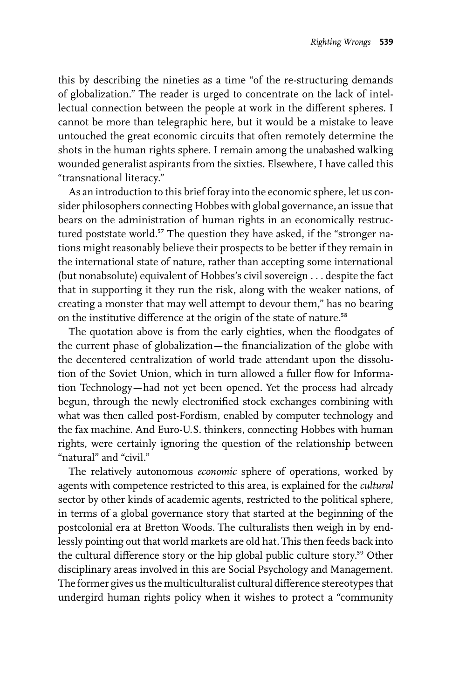this by describing the nineties as a time "of the re-structuring demands" of globalization.'' The reader is urged to concentrate on the lack of intellectual connection between the people at work in the different spheres. I cannot be more than telegraphic here, but it would be a mistake to leave untouched the great economic circuits that often remotely determine the shots in the human rights sphere. I remain among the unabashed walking wounded generalist aspirants from the sixties. Elsewhere, I have called this ''transnational literacy.''

As an introduction to this brief foray into the economic sphere, let us consider philosophers connecting Hobbes with global governance, an issue that bears on the administration of human rights in an economically restructured poststate world.<sup>57</sup> The question they have asked, if the "stronger nations might reasonably believe their prospects to be better if they remain in the international state of nature, rather than accepting some international (but nonabsolute) equivalent of Hobbes's civil sovereign . . . despite the fact that in supporting it they run the risk, along with the weaker nations, of creating a monster that may well attempt to devour them,'' has no bearing on the institutive difference at the origin of the state of nature.<sup>58</sup>

The quotation above is from the early eighties, when the floodgates of the current phase of globalization—the financialization of the globe with the decentered centralization of world trade attendant upon the dissolution of the Soviet Union, which in turn allowed a fuller flow for Information Technology—had not yet been opened. Yet the process had already begun, through the newly electronified stock exchanges combining with what was then called post-Fordism, enabled by computer technology and the fax machine. And Euro-U.S. thinkers, connecting Hobbes with human rights, were certainly ignoring the question of the relationship between ''natural'' and ''civil.''

The relatively autonomous economic sphere of operations, worked by agents with competence restricted to this area, is explained for the cultural sector by other kinds of academic agents, restricted to the political sphere, in terms of a global governance story that started at the beginning of the postcolonial era at Bretton Woods. The culturalists then weigh in by endlessly pointing out that world markets are old hat. This then feeds back into the cultural difference story or the hip global public culture story.59 Other disciplinary areas involved in this are Social Psychology and Management. The former gives us the multiculturalist cultural difference stereotypes that undergird human rights policy when it wishes to protect a ''community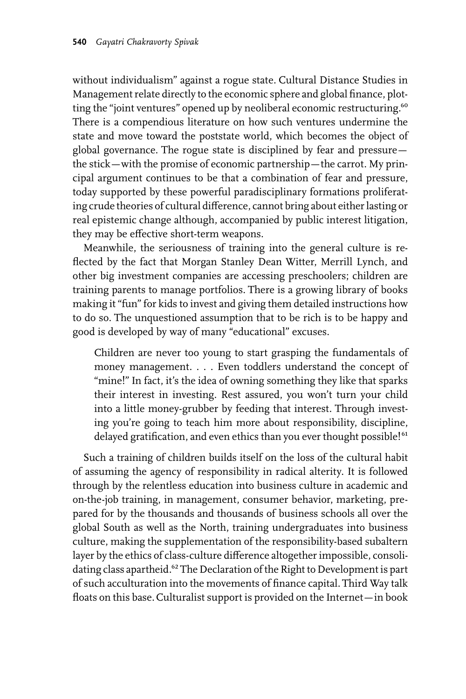without individualism'' against a rogue state. Cultural Distance Studies in Management relate directly to the economic sphere and global finance, plotting the "joint ventures" opened up by neoliberal economic restructuring.<sup>60</sup> There is a compendious literature on how such ventures undermine the state and move toward the poststate world, which becomes the object of global governance. The rogue state is disciplined by fear and pressure the stick—with the promise of economic partnership—the carrot. My principal argument continues to be that a combination of fear and pressure, today supported by these powerful paradisciplinary formations proliferating crude theories of cultural difference, cannot bring about either lasting or real epistemic change although, accompanied by public interest litigation, they may be effective short-term weapons.

Meanwhile, the seriousness of training into the general culture is reflected by the fact that Morgan Stanley Dean Witter, Merrill Lynch, and other big investment companies are accessing preschoolers; children are training parents to manage portfolios. There is a growing library of books making it "fun" for kids to invest and giving them detailed instructions how to do so. The unquestioned assumption that to be rich is to be happy and good is developed by way of many "educational" excuses.

Children are never too young to start grasping the fundamentals of money management. . . . Even toddlers understand the concept of "mine!" In fact, it's the idea of owning something they like that sparks their interest in investing. Rest assured, you won't turn your child into a little money-grubber by feeding that interest. Through investing you're going to teach him more about responsibility, discipline, delayed gratification, and even ethics than you ever thought possible!<sup>61</sup>

Such a training of children builds itself on the loss of the cultural habit of assuming the agency of responsibility in radical alterity. It is followed through by the relentless education into business culture in academic and on-the-job training, in management, consumer behavior, marketing, prepared for by the thousands and thousands of business schools all over the global South as well as the North, training undergraduates into business culture, making the supplementation of the responsibility-based subaltern layer by the ethics of class-culture difference altogether impossible, consolidating class apartheid.<sup>62</sup> The Declaration of the Right to Development is part of such acculturation into the movements of finance capital. Third Way talk floats on this base. Culturalist support is provided on the Internet—in book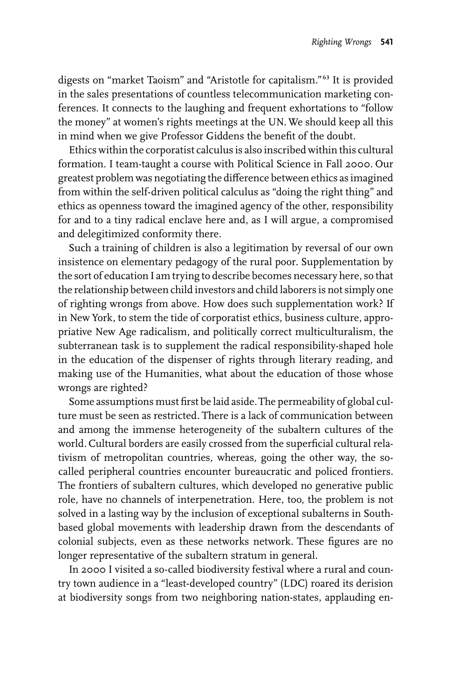digests on "market Taoism" and "Aristotle for capitalism."<sup>63</sup> It is provided in the sales presentations of countless telecommunication marketing conferences. It connects to the laughing and frequent exhortations to ''follow the money'' at women's rights meetings at the UN.We should keep all this in mind when we give Professor Giddens the benefit of the doubt.

Ethics within the corporatist calculus is also inscribed within this cultural formation. I team-taught a course with Political Science in Fall 2000. Our greatest problem was negotiating the difference between ethics as imagined from within the self-driven political calculus as ''doing the right thing'' and ethics as openness toward the imagined agency of the other, responsibility for and to a tiny radical enclave here and, as I will argue, a compromised and delegitimized conformity there.

Such a training of children is also a legitimation by reversal of our own insistence on elementary pedagogy of the rural poor. Supplementation by the sort of education I am trying to describe becomes necessary here, so that the relationship between child investors and child laborers is not simply one of righting wrongs from above. How does such supplementation work? If in New York, to stem the tide of corporatist ethics, business culture, appropriative New Age radicalism, and politically correct multiculturalism, the subterranean task is to supplement the radical responsibility-shaped hole in the education of the dispenser of rights through literary reading, and making use of the Humanities, what about the education of those whose wrongs are righted?

Some assumptions must first be laid aside.The permeability of global culture must be seen as restricted. There is a lack of communication between and among the immense heterogeneity of the subaltern cultures of the world. Cultural borders are easily crossed from the superficial cultural relativism of metropolitan countries, whereas, going the other way, the socalled peripheral countries encounter bureaucratic and policed frontiers. The frontiers of subaltern cultures, which developed no generative public role, have no channels of interpenetration. Here, too, the problem is not solved in a lasting way by the inclusion of exceptional subalterns in Southbased global movements with leadership drawn from the descendants of colonial subjects, even as these networks network. These figures are no longer representative of the subaltern stratum in general.

In 2000 I visited a so-called biodiversity festival where a rural and country town audience in a ''least-developed country'' (LDC) roared its derision at biodiversity songs from two neighboring nation-states, applauding en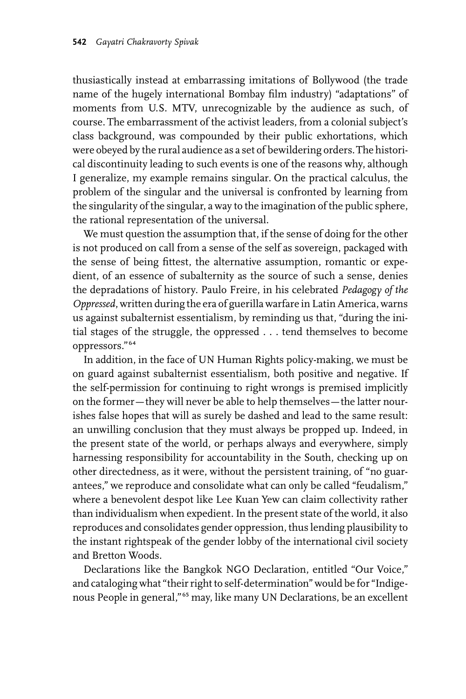thusiastically instead at embarrassing imitations of Bollywood (the trade name of the hugely international Bombay film industry) "adaptations" of moments from U.S. MTV, unrecognizable by the audience as such, of course. The embarrassment of the activist leaders, from a colonial subject's class background, was compounded by their public exhortations, which were obeyed by the rural audience as a set of bewildering orders.The historical discontinuity leading to such events is one of the reasons why, although I generalize, my example remains singular. On the practical calculus, the problem of the singular and the universal is confronted by learning from the singularity of the singular, a way to the imagination of the public sphere, the rational representation of the universal.

We must question the assumption that, if the sense of doing for the other is not produced on call from a sense of the self as sovereign, packaged with the sense of being fittest, the alternative assumption, romantic or expedient, of an essence of subalternity as the source of such a sense, denies the depradations of history. Paulo Freire, in his celebrated Pedagogy of the Oppressed, written during the era of guerilla warfare in Latin America, warns us against subalternist essentialism, by reminding us that, ''during the initial stages of the struggle, the oppressed . . . tend themselves to become oppressors.''64

In addition, in the face of UN Human Rights policy-making, we must be on guard against subalternist essentialism, both positive and negative. If the self-permission for continuing to right wrongs is premised implicitly on the former—they will never be able to help themselves—the latter nourishes false hopes that will as surely be dashed and lead to the same result: an unwilling conclusion that they must always be propped up. Indeed, in the present state of the world, or perhaps always and everywhere, simply harnessing responsibility for accountability in the South, checking up on other directedness, as it were, without the persistent training, of ''no guarantees,'' we reproduce and consolidate what can only be called ''feudalism,'' where a benevolent despot like Lee Kuan Yew can claim collectivity rather than individualism when expedient. In the present state of the world, it also reproduces and consolidates gender oppression, thus lending plausibility to the instant rightspeak of the gender lobby of the international civil society and Bretton Woods.

Declarations like the Bangkok NGO Declaration, entitled ''Our Voice,'' and cataloging what ''their right to self-determination'' would be for ''Indigenous People in general,''65 may, like many UN Declarations, be an excellent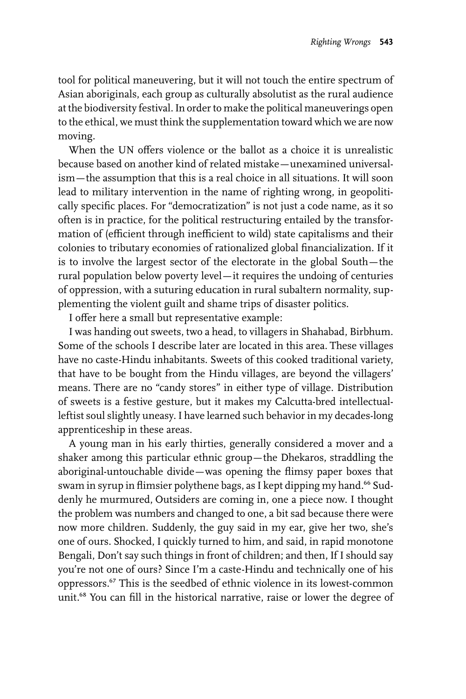tool for political maneuvering, but it will not touch the entire spectrum of Asian aboriginals, each group as culturally absolutist as the rural audience at the biodiversity festival. In order to make the political maneuverings open to the ethical, we must think the supplementation toward which we are now moving.

When the UN offers violence or the ballot as a choice it is unrealistic because based on another kind of related mistake—unexamined universalism—the assumption that this is a real choice in all situations. It will soon lead to military intervention in the name of righting wrong, in geopolitically specific places. For "democratization" is not just a code name, as it so often is in practice, for the political restructuring entailed by the transformation of (efficient through inefficient to wild) state capitalisms and their colonies to tributary economies of rationalized global financialization. If it is to involve the largest sector of the electorate in the global South—the rural population below poverty level—it requires the undoing of centuries of oppression, with a suturing education in rural subaltern normality, supplementing the violent guilt and shame trips of disaster politics.

I offer here a small but representative example:

I was handing out sweets, two a head, to villagers in Shahabad, Birbhum. Some of the schools I describe later are located in this area. These villages have no caste-Hindu inhabitants. Sweets of this cooked traditional variety, that have to be bought from the Hindu villages, are beyond the villagers' means. There are no "candy stores" in either type of village. Distribution of sweets is a festive gesture, but it makes my Calcutta-bred intellectualleftist soul slightly uneasy. I have learned such behavior in my decades-long apprenticeship in these areas.

A young man in his early thirties, generally considered a mover and a shaker among this particular ethnic group—the Dhekaros, straddling the aboriginal-untouchable divide—was opening the flimsy paper boxes that swam in syrup in flimsier polythene bags, as I kept dipping my hand.<sup>66</sup> Suddenly he murmured, Outsiders are coming in, one a piece now. I thought the problem was numbers and changed to one, a bit sad because there were now more children. Suddenly, the guy said in my ear, give her two, she's one of ours. Shocked, I quickly turned to him, and said, in rapid monotone Bengali, Don't say such things in front of children; and then, If I should say you're not one of ours? Since I'm a caste-Hindu and technically one of his oppressors.67 This is the seedbed of ethnic violence in its lowest-common unit.<sup>68</sup> You can fill in the historical narrative, raise or lower the degree of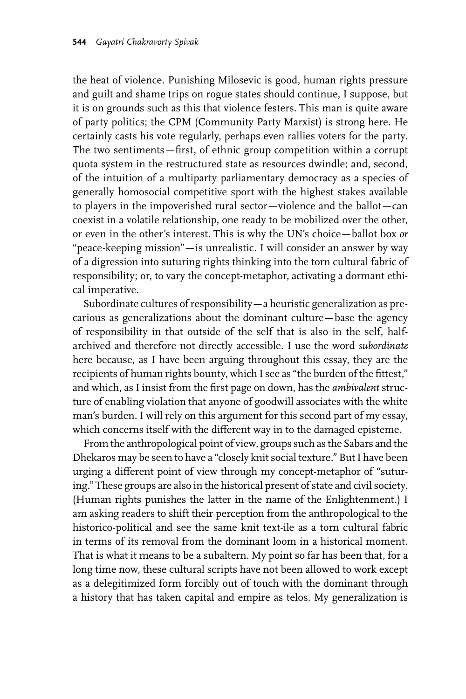the heat of violence. Punishing Milosevic is good, human rights pressure and guilt and shame trips on rogue states should continue, I suppose, but it is on grounds such as this that violence festers. This man is quite aware of party politics; the CPM (Community Party Marxist) is strong here. He certainly casts his vote regularly, perhaps even rallies voters for the party. The two sentiments—first, of ethnic group competition within a corrupt quota system in the restructured state as resources dwindle; and, second, of the intuition of a multiparty parliamentary democracy as a species of generally homosocial competitive sport with the highest stakes available to players in the impoverished rural sector—violence and the ballot—can coexist in a volatile relationship, one ready to be mobilized over the other, or even in the other's interest. This is why the UN's choice—ballot box or "peace-keeping mission"—is unrealistic. I will consider an answer by way of a digression into suturing rights thinking into the torn cultural fabric of responsibility; or, to vary the concept-metaphor, activating a dormant ethical imperative.

Subordinate cultures of responsibility—a heuristic generalization as precarious as generalizations about the dominant culture—base the agency of responsibility in that outside of the self that is also in the self, halfarchived and therefore not directly accessible. I use the word subordinate here because, as I have been arguing throughout this essay, they are the recipients of human rights bounty, which I see as ''the burden of the fittest,'' and which, as I insist from the first page on down, has the *ambivalent* structure of enabling violation that anyone of goodwill associates with the white man's burden. I will rely on this argument for this second part of my essay, which concerns itself with the different way in to the damaged episteme.

From the anthropological point of view, groups such as the Sabars and the Dhekaros may be seen to have a ''closely knit social texture.'' But I have been urging a different point of view through my concept-metaphor of ''suturing.'' These groups are also in the historical present of state and civil society. (Human rights punishes the latter in the name of the Enlightenment.) I am asking readers to shift their perception from the anthropological to the historico-political and see the same knit text-ile as a torn cultural fabric in terms of its removal from the dominant loom in a historical moment. That is what it means to be a subaltern. My point so far has been that, for a long time now, these cultural scripts have not been allowed to work except as a delegitimized form forcibly out of touch with the dominant through a history that has taken capital and empire as telos. My generalization is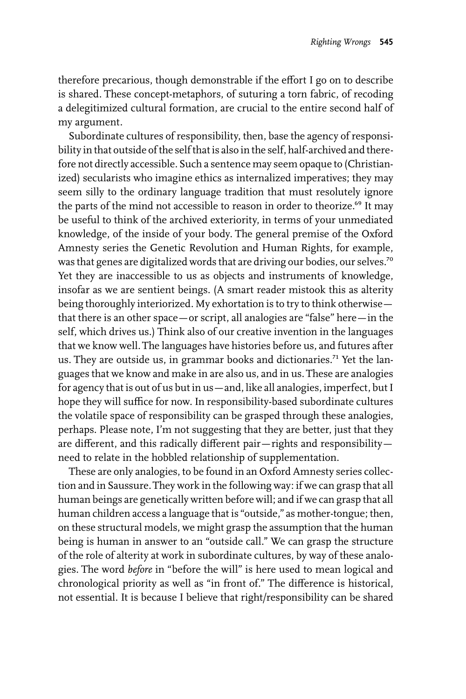therefore precarious, though demonstrable if the effort I go on to describe is shared. These concept-metaphors, of suturing a torn fabric, of recoding a delegitimized cultural formation, are crucial to the entire second half of my argument.

Subordinate cultures of responsibility, then, base the agency of responsibility in that outside of the self that is also in the self, half-archived and therefore not directly accessible. Such a sentence may seem opaque to (Christianized) secularists who imagine ethics as internalized imperatives; they may seem silly to the ordinary language tradition that must resolutely ignore the parts of the mind not accessible to reason in order to theorize.<sup>69</sup> It may be useful to think of the archived exteriority, in terms of your unmediated knowledge, of the inside of your body. The general premise of the Oxford Amnesty series the Genetic Revolution and Human Rights, for example, was that genes are digitalized words that are driving our bodies, our selves.<sup>70</sup> Yet they are inaccessible to us as objects and instruments of knowledge, insofar as we are sentient beings. (A smart reader mistook this as alterity being thoroughly interiorized. My exhortation is to try to think otherwise that there is an other space—or script, all analogies are ''false'' here—in the self, which drives us.) Think also of our creative invention in the languages that we know well. The languages have histories before us, and futures after us. They are outside us, in grammar books and dictionaries.<sup>71</sup> Yet the languages that we know and make in are also us, and in us. These are analogies for agency that is out of us but in us—and, like all analogies, imperfect, but I hope they will suffice for now. In responsibility-based subordinate cultures the volatile space of responsibility can be grasped through these analogies, perhaps. Please note, I'm not suggesting that they are better, just that they are different, and this radically different pair—rights and responsibility need to relate in the hobbled relationship of supplementation.

These are only analogies, to be found in an Oxford Amnesty series collection and in Saussure.They work in the following way: if we can grasp that all human beings are genetically written before will; and if we can grasp that all human children access a language that is "outside," as mother-tongue; then, on these structural models, we might grasp the assumption that the human being is human in answer to an ''outside call.'' We can grasp the structure of the role of alterity at work in subordinate cultures, by way of these analogies. The word before in ''before the will'' is here used to mean logical and chronological priority as well as ''in front of.'' The difference is historical, not essential. It is because I believe that right/responsibility can be shared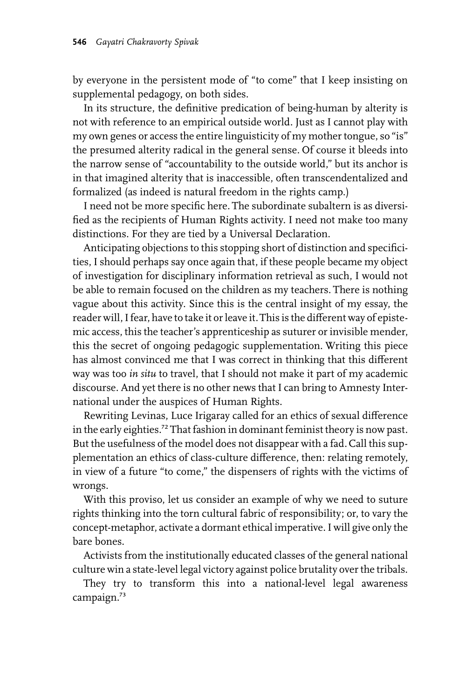by everyone in the persistent mode of ''to come'' that I keep insisting on supplemental pedagogy, on both sides.

In its structure, the definitive predication of being-human by alterity is not with reference to an empirical outside world. Just as I cannot play with my own genes or access the entire linguisticity of my mother tongue, so "is" the presumed alterity radical in the general sense. Of course it bleeds into the narrow sense of ''accountability to the outside world,'' but its anchor is in that imagined alterity that is inaccessible, often transcendentalized and formalized (as indeed is natural freedom in the rights camp.)

I need not be more specific here. The subordinate subaltern is as diversified as the recipients of Human Rights activity. I need not make too many distinctions. For they are tied by a Universal Declaration.

Anticipating objections to this stopping short of distinction and specificities, I should perhaps say once again that, if these people became my object of investigation for disciplinary information retrieval as such, I would not be able to remain focused on the children as my teachers. There is nothing vague about this activity. Since this is the central insight of my essay, the reader will, I fear, have to take it or leave it.This is the different way of epistemic access, this the teacher's apprenticeship as suturer or invisible mender, this the secret of ongoing pedagogic supplementation. Writing this piece has almost convinced me that I was correct in thinking that this different way was too in situ to travel, that I should not make it part of my academic discourse. And yet there is no other news that I can bring to Amnesty International under the auspices of Human Rights.

Rewriting Levinas, Luce Irigaray called for an ethics of sexual difference in the early eighties.<sup>72</sup> That fashion in dominant feminist theory is now past. But the usefulness of the model does not disappear with a fad. Call this supplementation an ethics of class-culture difference, then: relating remotely, in view of a future "to come," the dispensers of rights with the victims of wrongs.

With this proviso, let us consider an example of why we need to suture rights thinking into the torn cultural fabric of responsibility; or, to vary the concept-metaphor, activate a dormant ethical imperative. I will give only the bare bones.

Activists from the institutionally educated classes of the general national culture win a state-level legal victory against police brutality over the tribals.

They try to transform this into a national-level legal awareness campaign.<sup>73</sup>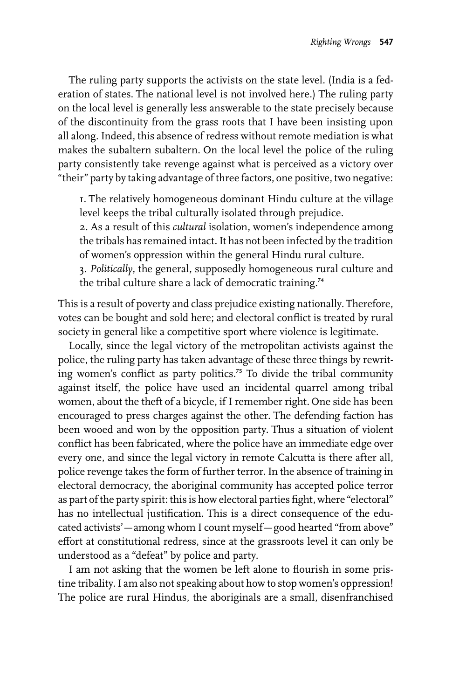The ruling party supports the activists on the state level. (India is a federation of states. The national level is not involved here.) The ruling party on the local level is generally less answerable to the state precisely because of the discontinuity from the grass roots that I have been insisting upon all along. Indeed, this absence of redress without remote mediation is what makes the subaltern subaltern. On the local level the police of the ruling party consistently take revenge against what is perceived as a victory over ''their'' party by taking advantage of three factors, one positive, two negative:

1. The relatively homogeneous dominant Hindu culture at the village level keeps the tribal culturally isolated through prejudice.

2. As a result of this cultural isolation, women's independence among the tribals has remained intact. It has not been infected by the tradition of women's oppression within the general Hindu rural culture.

3. Politically, the general, supposedly homogeneous rural culture and the tribal culture share a lack of democratic training.<sup>74</sup>

This is a result of poverty and class prejudice existing nationally. Therefore, votes can be bought and sold here; and electoral conflict is treated by rural society in general like a competitive sport where violence is legitimate.

Locally, since the legal victory of the metropolitan activists against the police, the ruling party has taken advantage of these three things by rewriting women's conflict as party politics.<sup>75</sup> To divide the tribal community against itself, the police have used an incidental quarrel among tribal women, about the theft of a bicycle, if I remember right. One side has been encouraged to press charges against the other. The defending faction has been wooed and won by the opposition party. Thus a situation of violent conflict has been fabricated, where the police have an immediate edge over every one, and since the legal victory in remote Calcutta is there after all, police revenge takes the form of further terror. In the absence of training in electoral democracy, the aboriginal community has accepted police terror as part of the party spirit: this is how electoral parties fight, where "electoral" has no intellectual justification. This is a direct consequence of the educated activists'—among whom I count myself—good hearted ''from above'' effort at constitutional redress, since at the grassroots level it can only be understood as a ''defeat'' by police and party.

I am not asking that the women be left alone to flourish in some pristine tribality. I am also not speaking about how to stop women's oppression! The police are rural Hindus, the aboriginals are a small, disenfranchised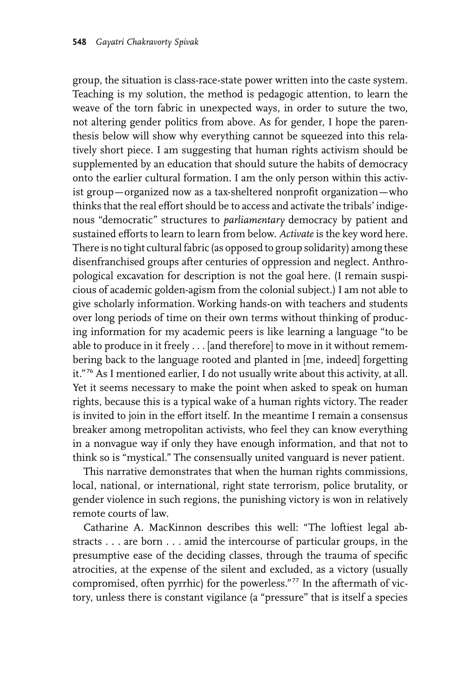group, the situation is class-race-state power written into the caste system. Teaching is my solution, the method is pedagogic attention, to learn the weave of the torn fabric in unexpected ways, in order to suture the two, not altering gender politics from above. As for gender, I hope the parenthesis below will show why everything cannot be squeezed into this relatively short piece. I am suggesting that human rights activism should be supplemented by an education that should suture the habits of democracy onto the earlier cultural formation. I am the only person within this activist group—organized now as a tax-sheltered nonprofit organization—who thinks that the real effort should be to access and activate the tribals' indigenous "democratic" structures to *parliamentary* democracy by patient and sustained efforts to learn to learn from below. Activate is the key word here. There is no tight cultural fabric (as opposed to group solidarity) among these disenfranchised groups after centuries of oppression and neglect. Anthropological excavation for description is not the goal here. (I remain suspicious of academic golden-agism from the colonial subject.) I am not able to give scholarly information. Working hands-on with teachers and students over long periods of time on their own terms without thinking of producing information for my academic peers is like learning a language ''to be able to produce in it freely . . . [and therefore] to move in it without remembering back to the language rooted and planted in [me, indeed] forgetting it."<sup>76</sup> As I mentioned earlier, I do not usually write about this activity, at all. Yet it seems necessary to make the point when asked to speak on human rights, because this is a typical wake of a human rights victory. The reader is invited to join in the effort itself. In the meantime I remain a consensus breaker among metropolitan activists, who feel they can know everything in a nonvague way if only they have enough information, and that not to think so is "mystical." The consensually united vanguard is never patient.

This narrative demonstrates that when the human rights commissions, local, national, or international, right state terrorism, police brutality, or gender violence in such regions, the punishing victory is won in relatively remote courts of law.

Catharine A. MacKinnon describes this well: ''The loftiest legal abstracts . . . are born . . . amid the intercourse of particular groups, in the presumptive ease of the deciding classes, through the trauma of specific atrocities, at the expense of the silent and excluded, as a victory (usually compromised, often pyrrhic) for the powerless."<sup>77</sup> In the aftermath of victory, unless there is constant vigilance (a "pressure" that is itself a species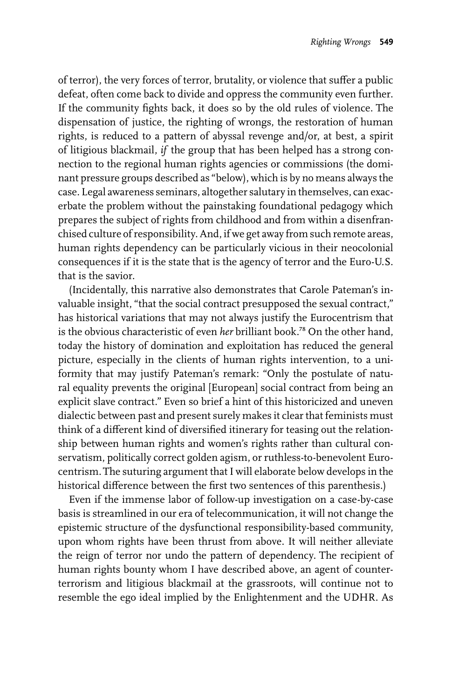of terror), the very forces of terror, brutality, or violence that suffer a public defeat, often come back to divide and oppress the community even further. If the community fights back, it does so by the old rules of violence. The dispensation of justice, the righting of wrongs, the restoration of human rights, is reduced to a pattern of abyssal revenge and/or, at best, a spirit of litigious blackmail, if the group that has been helped has a strong connection to the regional human rights agencies or commissions (the dominant pressure groups described as ''below), which is by no means always the case. Legal awareness seminars, altogether salutary in themselves, can exacerbate the problem without the painstaking foundational pedagogy which prepares the subject of rights from childhood and from within a disenfranchised culture of responsibility. And, if we get away from such remote areas, human rights dependency can be particularly vicious in their neocolonial consequences if it is the state that is the agency of terror and the Euro-U.S. that is the savior.

(Incidentally, this narrative also demonstrates that Carole Pateman's invaluable insight, "that the social contract presupposed the sexual contract," has historical variations that may not always justify the Eurocentrism that is the obvious characteristic of even her brilliant book.<sup>78</sup> On the other hand, today the history of domination and exploitation has reduced the general picture, especially in the clients of human rights intervention, to a uniformity that may justify Pateman's remark: "Only the postulate of natural equality prevents the original [European] social contract from being an explicit slave contract.'' Even so brief a hint of this historicized and uneven dialectic between past and present surely makes it clear that feminists must think of a different kind of diversified itinerary for teasing out the relationship between human rights and women's rights rather than cultural conservatism, politically correct golden agism, or ruthless-to-benevolent Eurocentrism. The suturing argument that I will elaborate below develops in the historical difference between the first two sentences of this parenthesis.)

Even if the immense labor of follow-up investigation on a case-by-case basis is streamlined in our era of telecommunication, it will not change the epistemic structure of the dysfunctional responsibility-based community, upon whom rights have been thrust from above. It will neither alleviate the reign of terror nor undo the pattern of dependency. The recipient of human rights bounty whom I have described above, an agent of counterterrorism and litigious blackmail at the grassroots, will continue not to resemble the ego ideal implied by the Enlightenment and the UDHR. As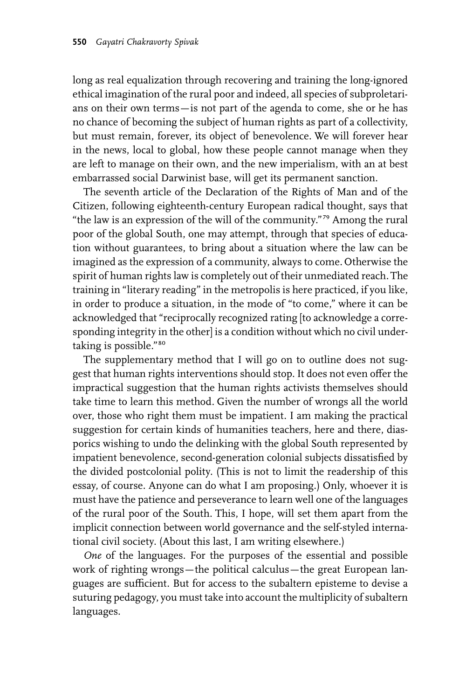long as real equalization through recovering and training the long-ignored ethical imagination of the rural poor and indeed, all species of subproletarians on their own terms—is not part of the agenda to come, she or he has no chance of becoming the subject of human rights as part of a collectivity, but must remain, forever, its object of benevolence. We will forever hear in the news, local to global, how these people cannot manage when they are left to manage on their own, and the new imperialism, with an at best embarrassed social Darwinist base, will get its permanent sanction.

The seventh article of the Declaration of the Rights of Man and of the Citizen, following eighteenth-century European radical thought, says that "the law is an expression of the will of the community."<sup>79</sup> Among the rural poor of the global South, one may attempt, through that species of education without guarantees, to bring about a situation where the law can be imagined as the expression of a community, always to come. Otherwise the spirit of human rights law is completely out of their unmediated reach. The training in ''literary reading'' in the metropolis is here practiced, if you like, in order to produce a situation, in the mode of ''to come,'' where it can be acknowledged that "reciprocally recognized rating [to acknowledge a corresponding integrity in the other] is a condition without which no civil undertaking is possible."<sup>80</sup>

The supplementary method that I will go on to outline does not suggest that human rights interventions should stop. It does not even offer the impractical suggestion that the human rights activists themselves should take time to learn this method. Given the number of wrongs all the world over, those who right them must be impatient. I am making the practical suggestion for certain kinds of humanities teachers, here and there, diasporics wishing to undo the delinking with the global South represented by impatient benevolence, second-generation colonial subjects dissatisfied by the divided postcolonial polity. (This is not to limit the readership of this essay, of course. Anyone can do what I am proposing.) Only, whoever it is must have the patience and perseverance to learn well one of the languages of the rural poor of the South. This, I hope, will set them apart from the implicit connection between world governance and the self-styled international civil society. (About this last, I am writing elsewhere.)

One of the languages. For the purposes of the essential and possible work of righting wrongs—the political calculus—the great European languages are sufficient. But for access to the subaltern episteme to devise a suturing pedagogy, you must take into account the multiplicity of subaltern languages.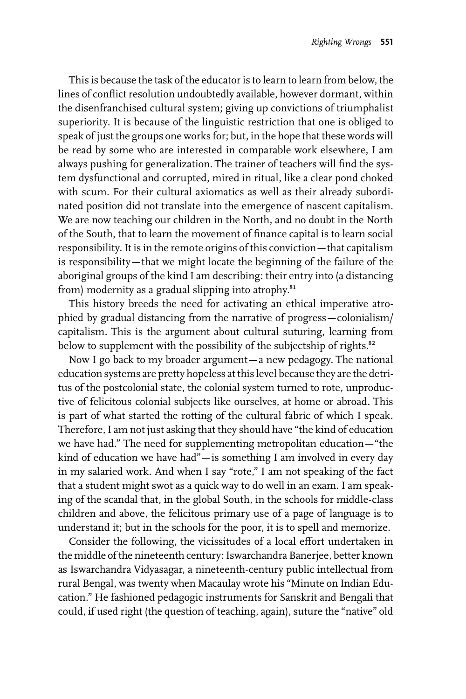This is because the task of the educator is to learn to learn from below, the lines of conflict resolution undoubtedly available, however dormant, within the disenfranchised cultural system; giving up convictions of triumphalist superiority. It is because of the linguistic restriction that one is obliged to speak of just the groups one works for; but, in the hope that these words will be read by some who are interested in comparable work elsewhere, I am always pushing for generalization. The trainer of teachers will find the system dysfunctional and corrupted, mired in ritual, like a clear pond choked with scum. For their cultural axiomatics as well as their already subordinated position did not translate into the emergence of nascent capitalism. We are now teaching our children in the North, and no doubt in the North of the South, that to learn the movement of finance capital is to learn social responsibility. It is in the remote origins of this conviction—that capitalism is responsibility—that we might locate the beginning of the failure of the aboriginal groups of the kind I am describing: their entry into (a distancing from) modernity as a gradual slipping into atrophy.<sup>81</sup>

This history breeds the need for activating an ethical imperative atrophied by gradual distancing from the narrative of progress—colonialism/ capitalism. This is the argument about cultural suturing, learning from below to supplement with the possibility of the subjectship of rights.<sup>82</sup>

Now I go back to my broader argument—a new pedagogy. The national education systems are pretty hopeless at this level because they are the detritus of the postcolonial state, the colonial system turned to rote, unproductive of felicitous colonial subjects like ourselves, at home or abroad. This is part of what started the rotting of the cultural fabric of which I speak. Therefore, I am not just asking that they should have ''the kind of education we have had." The need for supplementing metropolitan education—"the kind of education we have had"—is something I am involved in every day in my salaried work. And when I say "rote," I am not speaking of the fact that a student might swot as a quick way to do well in an exam. I am speaking of the scandal that, in the global South, in the schools for middle-class children and above, the felicitous primary use of a page of language is to understand it; but in the schools for the poor, it is to spell and memorize.

Consider the following, the vicissitudes of a local effort undertaken in the middle of the nineteenth century: Iswarchandra Banerjee, better known as Iswarchandra Vidyasagar, a nineteenth-century public intellectual from rural Bengal, was twenty when Macaulay wrote his ''Minute on Indian Education.'' He fashioned pedagogic instruments for Sanskrit and Bengali that could, if used right (the question of teaching, again), suture the ''native'' old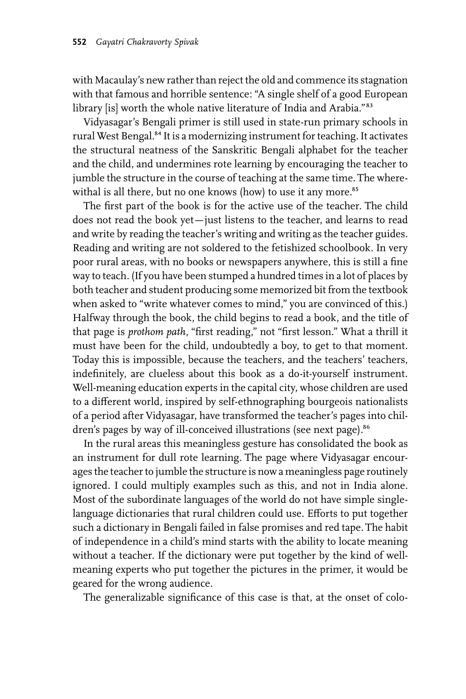with Macaulay's new rather than reject the old and commence its stagnation with that famous and horrible sentence: "A single shelf of a good European library [is] worth the whole native literature of India and Arabia."<sup>83</sup>

Vidyasagar's Bengali primer is still used in state-run primary schools in rural West Bengal.<sup>84</sup> It is a modernizing instrument for teaching. It activates the structural neatness of the Sanskritic Bengali alphabet for the teacher and the child, and undermines rote learning by encouraging the teacher to jumble the structure in the course of teaching at the same time. The wherewithal is all there, but no one knows (how) to use it any more.<sup>85</sup>

The first part of the book is for the active use of the teacher. The child does not read the book yet—just listens to the teacher, and learns to read and write by reading the teacher's writing and writing as the teacher guides. Reading and writing are not soldered to the fetishized schoolbook. In very poor rural areas, with no books or newspapers anywhere, this is still a fine way to teach. (If you have been stumped a hundred times in a lot of places by both teacher and student producing some memorized bit from the textbook when asked to "write whatever comes to mind," you are convinced of this.) Halfway through the book, the child begins to read a book, and the title of that page is prothom path, "first reading," not "first lesson." What a thrill it must have been for the child, undoubtedly a boy, to get to that moment. Today this is impossible, because the teachers, and the teachers' teachers, indefinitely, are clueless about this book as a do-it-yourself instrument. Well-meaning education experts in the capital city, whose children are used to a different world, inspired by self-ethnographing bourgeois nationalists of a period after Vidyasagar, have transformed the teacher's pages into children's pages by way of ill-conceived illustrations (see next page).<sup>86</sup>

In the rural areas this meaningless gesture has consolidated the book as an instrument for dull rote learning. The page where Vidyasagar encourages the teacher to jumble the structure is now a meaningless page routinely ignored. I could multiply examples such as this, and not in India alone. Most of the subordinate languages of the world do not have simple singlelanguage dictionaries that rural children could use. Efforts to put together such a dictionary in Bengali failed in false promises and red tape. The habit of independence in a child's mind starts with the ability to locate meaning without a teacher. If the dictionary were put together by the kind of wellmeaning experts who put together the pictures in the primer, it would be geared for the wrong audience.

The generalizable significance of this case is that, at the onset of colo-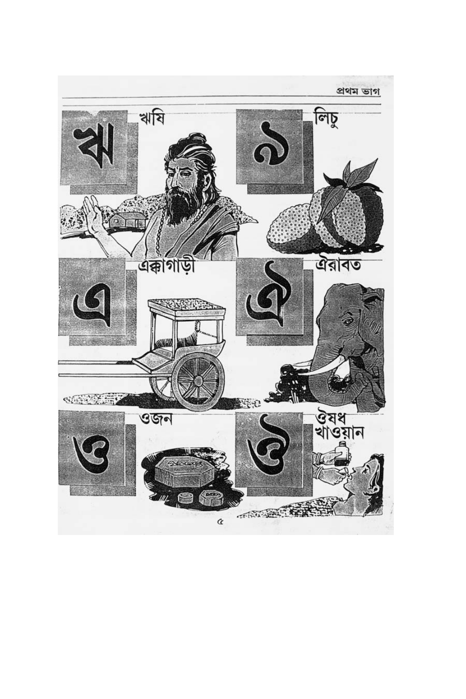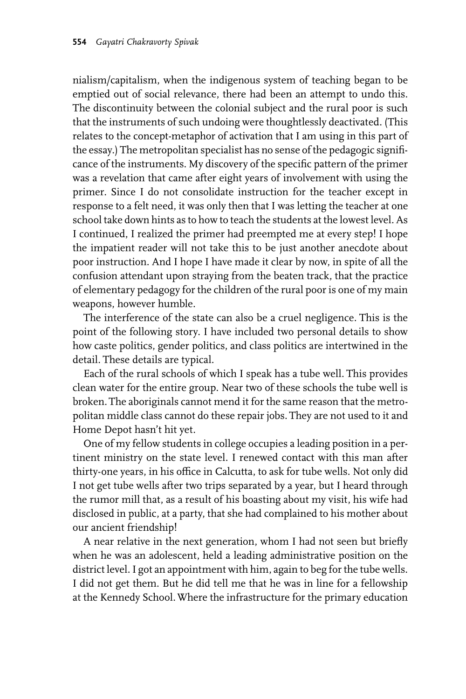nialism/capitalism, when the indigenous system of teaching began to be emptied out of social relevance, there had been an attempt to undo this. The discontinuity between the colonial subject and the rural poor is such that the instruments of such undoing were thoughtlessly deactivated. (This relates to the concept-metaphor of activation that I am using in this part of the essay.) The metropolitan specialist has no sense of the pedagogic significance of the instruments. My discovery of the specific pattern of the primer was a revelation that came after eight years of involvement with using the primer. Since I do not consolidate instruction for the teacher except in response to a felt need, it was only then that I was letting the teacher at one school take down hints as to how to teach the students at the lowest level. As I continued, I realized the primer had preempted me at every step! I hope the impatient reader will not take this to be just another anecdote about poor instruction. And I hope I have made it clear by now, in spite of all the confusion attendant upon straying from the beaten track, that the practice of elementary pedagogy for the children of the rural poor is one of my main weapons, however humble.

The interference of the state can also be a cruel negligence. This is the point of the following story. I have included two personal details to show how caste politics, gender politics, and class politics are intertwined in the detail. These details are typical.

Each of the rural schools of which I speak has a tube well. This provides clean water for the entire group. Near two of these schools the tube well is broken. The aboriginals cannot mend it for the same reason that the metropolitan middle class cannot do these repair jobs. They are not used to it and Home Depot hasn't hit yet.

One of my fellow students in college occupies a leading position in a pertinent ministry on the state level. I renewed contact with this man after thirty-one years, in his office in Calcutta, to ask for tube wells. Not only did I not get tube wells after two trips separated by a year, but I heard through the rumor mill that, as a result of his boasting about my visit, his wife had disclosed in public, at a party, that she had complained to his mother about our ancient friendship!

A near relative in the next generation, whom I had not seen but briefly when he was an adolescent, held a leading administrative position on the district level. I got an appointment with him, again to beg for the tube wells. I did not get them. But he did tell me that he was in line for a fellowship at the Kennedy School.Where the infrastructure for the primary education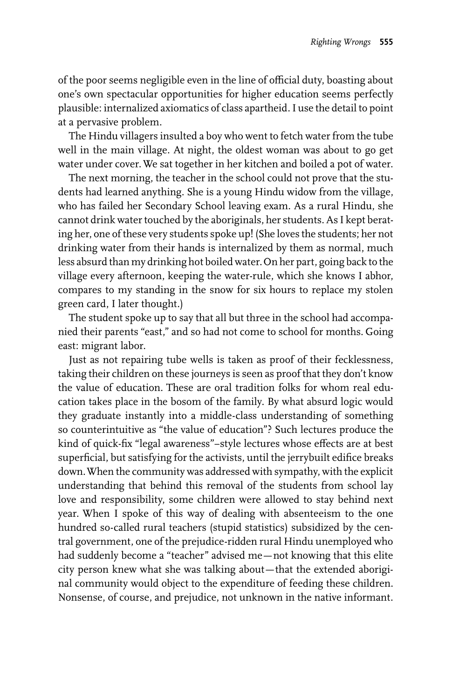of the poor seems negligible even in the line of official duty, boasting about one's own spectacular opportunities for higher education seems perfectly plausible: internalized axiomatics of class apartheid. I use the detail to point at a pervasive problem.

The Hindu villagers insulted a boy who went to fetch water from the tube well in the main village. At night, the oldest woman was about to go get water under cover.We sat together in her kitchen and boiled a pot of water.

The next morning, the teacher in the school could not prove that the students had learned anything. She is a young Hindu widow from the village, who has failed her Secondary School leaving exam. As a rural Hindu, she cannot drink water touched by the aboriginals, her students. As I kept berating her, one of these very students spoke up! (She loves the students; her not drinking water from their hands is internalized by them as normal, much less absurd than my drinking hot boiled water.On her part, going back to the village every afternoon, keeping the water-rule, which she knows I abhor, compares to my standing in the snow for six hours to replace my stolen green card, I later thought.)

The student spoke up to say that all but three in the school had accompanied their parents "east," and so had not come to school for months. Going east: migrant labor.

Just as not repairing tube wells is taken as proof of their fecklessness, taking their children on these journeys is seen as proof that they don't know the value of education. These are oral tradition folks for whom real education takes place in the bosom of the family. By what absurd logic would they graduate instantly into a middle-class understanding of something so counterintuitive as ''the value of education''? Such lectures produce the kind of quick-fix ''legal awareness''–style lectures whose effects are at best superficial, but satisfying for the activists, until the jerrybuilt edifice breaks down.When the community was addressed with sympathy, with the explicit understanding that behind this removal of the students from school lay love and responsibility, some children were allowed to stay behind next year. When I spoke of this way of dealing with absenteeism to the one hundred so-called rural teachers (stupid statistics) subsidized by the central government, one of the prejudice-ridden rural Hindu unemployed who had suddenly become a "teacher" advised me - not knowing that this elite city person knew what she was talking about—that the extended aboriginal community would object to the expenditure of feeding these children. Nonsense, of course, and prejudice, not unknown in the native informant.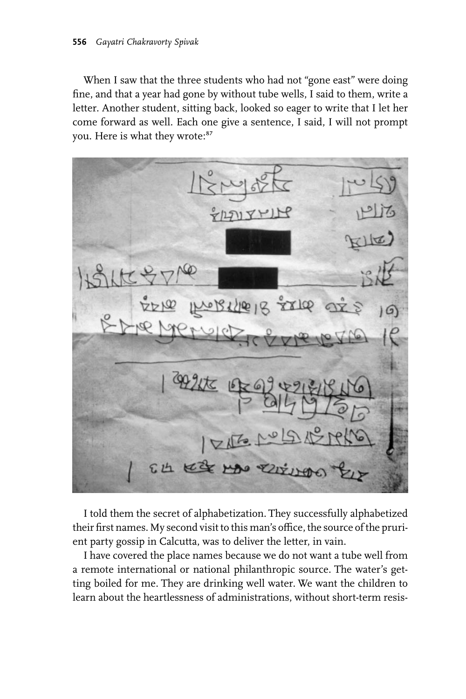When I saw that the three students who had not "gone east" were doing fine, and that a year had gone by without tube wells, I said to them, write a letter. Another student, sitting back, looked so eager to write that I let her come forward as well. Each one give a sentence, I said, I will not prompt you. Here is what they wrote:<sup>87</sup>



I told them the secret of alphabetization. They successfully alphabetized their first names. My second visit to this man's office, the source of the prurient party gossip in Calcutta, was to deliver the letter, in vain.

I have covered the place names because we do not want a tube well from a remote international or national philanthropic source. The water's getting boiled for me. They are drinking well water. We want the children to learn about the heartlessness of administrations, without short-term resis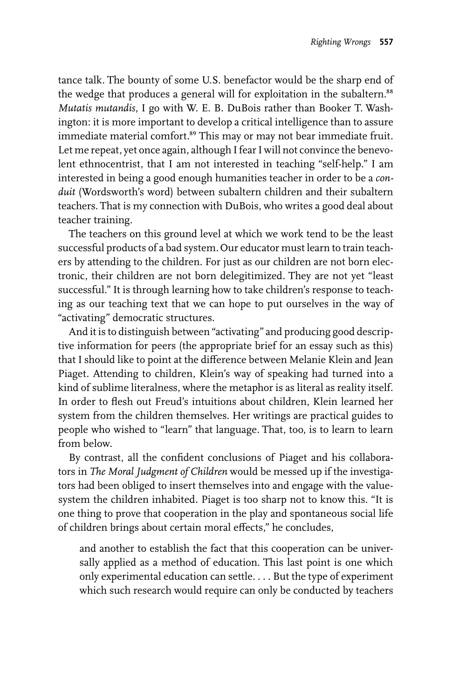tance talk. The bounty of some U.S. benefactor would be the sharp end of the wedge that produces a general will for exploitation in the subaltern.<sup>88</sup> Mutatis mutandis, I go with W. E. B. DuBois rather than Booker T. Washington: it is more important to develop a critical intelligence than to assure immediate material comfort.<sup>89</sup> This may or may not bear immediate fruit. Let me repeat, yet once again, although I fear I will not convince the benevolent ethnocentrist, that I am not interested in teaching "self-help." I am interested in being a good enough humanities teacher in order to be a conduit (Wordsworth's word) between subaltern children and their subaltern teachers. That is my connection with DuBois, who writes a good deal about teacher training.

The teachers on this ground level at which we work tend to be the least successful products of a bad system. Our educator must learn to train teachers by attending to the children. For just as our children are not born electronic, their children are not born delegitimized. They are not yet ''least successful.'' It is through learning how to take children's response to teaching as our teaching text that we can hope to put ourselves in the way of "activating" democratic structures.

And it is to distinguish between "activating" and producing good descriptive information for peers (the appropriate brief for an essay such as this) that I should like to point at the difference between Melanie Klein and Jean Piaget. Attending to children, Klein's way of speaking had turned into a kind of sublime literalness, where the metaphor is as literal as reality itself. In order to flesh out Freud's intuitions about children, Klein learned her system from the children themselves. Her writings are practical guides to people who wished to ''learn'' that language. That, too, is to learn to learn from below.

By contrast, all the confident conclusions of Piaget and his collaborators in The Moral Judgment of Children would be messed up if the investigators had been obliged to insert themselves into and engage with the valuesystem the children inhabited. Piaget is too sharp not to know this. ''It is one thing to prove that cooperation in the play and spontaneous social life of children brings about certain moral effects,'' he concludes,

and another to establish the fact that this cooperation can be universally applied as a method of education. This last point is one which only experimental education can settle. . . . But the type of experiment which such research would require can only be conducted by teachers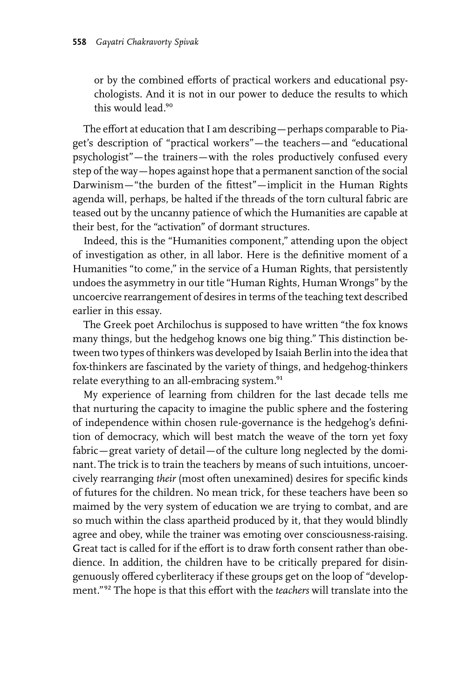or by the combined efforts of practical workers and educational psychologists. And it is not in our power to deduce the results to which this would lead.90

The effort at education that I am describing—perhaps comparable to Piaget's description of ''practical workers''—the teachers—and ''educational psychologist''—the trainers—with the roles productively confused every step of the way—hopes against hope that a permanent sanction of the social Darwinism—"the burden of the fittest"—implicit in the Human Rights agenda will, perhaps, be halted if the threads of the torn cultural fabric are teased out by the uncanny patience of which the Humanities are capable at their best, for the ''activation'' of dormant structures.

Indeed, this is the ''Humanities component,'' attending upon the object of investigation as other, in all labor. Here is the definitive moment of a Humanities "to come," in the service of a Human Rights, that persistently undoes the asymmetry in our title ''Human Rights, Human Wrongs'' by the uncoercive rearrangement of desires in terms of the teaching text described earlier in this essay.

The Greek poet Archilochus is supposed to have written ''the fox knows many things, but the hedgehog knows one big thing.'' This distinction between two types of thinkers was developed by Isaiah Berlin into the idea that fox-thinkers are fascinated by the variety of things, and hedgehog-thinkers relate everything to an all-embracing system.<sup>91</sup>

My experience of learning from children for the last decade tells me that nurturing the capacity to imagine the public sphere and the fostering of independence within chosen rule-governance is the hedgehog's definition of democracy, which will best match the weave of the torn yet foxy fabric—great variety of detail—of the culture long neglected by the dominant. The trick is to train the teachers by means of such intuitions, uncoercively rearranging their (most often unexamined) desires for specific kinds of futures for the children. No mean trick, for these teachers have been so maimed by the very system of education we are trying to combat, and are so much within the class apartheid produced by it, that they would blindly agree and obey, while the trainer was emoting over consciousness-raising. Great tact is called for if the effort is to draw forth consent rather than obedience. In addition, the children have to be critically prepared for disingenuously offered cyberliteracy if these groups get on the loop of ''development."<sup>92</sup> The hope is that this effort with the teachers will translate into the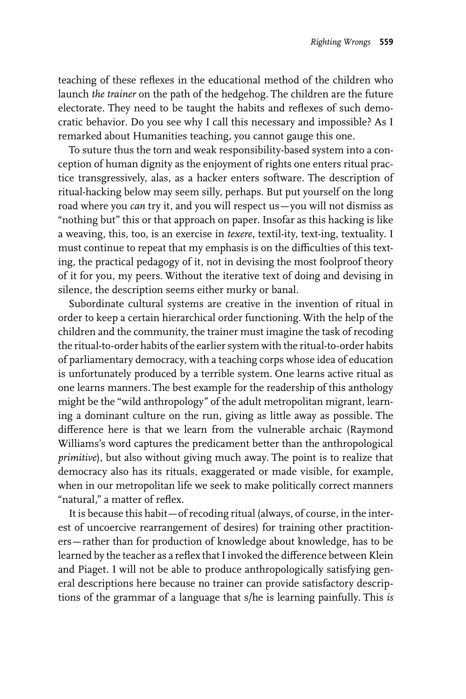teaching of these reflexes in the educational method of the children who launch the trainer on the path of the hedgehog. The children are the future electorate. They need to be taught the habits and reflexes of such democratic behavior. Do you see why I call this necessary and impossible? As I remarked about Humanities teaching, you cannot gauge this one.

To suture thus the torn and weak responsibility-based system into a conception of human dignity as the enjoyment of rights one enters ritual practice transgressively, alas, as a hacker enters software. The description of ritual-hacking below may seem silly, perhaps. But put yourself on the long road where you can try it, and you will respect us—you will not dismiss as "nothing but" this or that approach on paper. Insofar as this hacking is like a weaving, this, too, is an exercise in texere, textil-ity, text-ing, textuality. I must continue to repeat that my emphasis is on the difficulties of this texting, the practical pedagogy of it, not in devising the most foolproof theory of it for you, my peers. Without the iterative text of doing and devising in silence, the description seems either murky or banal.

Subordinate cultural systems are creative in the invention of ritual in order to keep a certain hierarchical order functioning. With the help of the children and the community, the trainer must imagine the task of recoding the ritual-to-order habits of the earlier system with the ritual-to-order habits of parliamentary democracy, with a teaching corps whose idea of education is unfortunately produced by a terrible system. One learns active ritual as one learns manners. The best example for the readership of this anthology might be the "wild anthropology" of the adult metropolitan migrant, learning a dominant culture on the run, giving as little away as possible. The difference here is that we learn from the vulnerable archaic (Raymond Williams's word captures the predicament better than the anthropological primitive), but also without giving much away. The point is to realize that democracy also has its rituals, exaggerated or made visible, for example, when in our metropolitan life we seek to make politically correct manners "natural," a matter of reflex.

It is because this habit—of recoding ritual (always, of course, in the interest of uncoercive rearrangement of desires) for training other practitioners—rather than for production of knowledge about knowledge, has to be learned by the teacher as a reflex that I invoked the difference between Klein and Piaget. I will not be able to produce anthropologically satisfying general descriptions here because no trainer can provide satisfactory descriptions of the grammar of a language that s/he is learning painfully. This is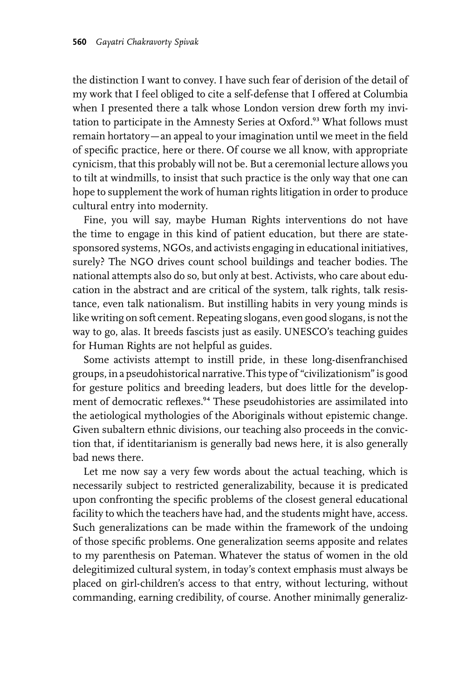the distinction I want to convey. I have such fear of derision of the detail of my work that I feel obliged to cite a self-defense that I offered at Columbia when I presented there a talk whose London version drew forth my invitation to participate in the Amnesty Series at Oxford.<sup>93</sup> What follows must remain hortatory—an appeal to your imagination until we meet in the field of specific practice, here or there. Of course we all know, with appropriate cynicism, that this probably will not be. But a ceremonial lecture allows you to tilt at windmills, to insist that such practice is the only way that one can hope to supplement the work of human rights litigation in order to produce cultural entry into modernity.

Fine, you will say, maybe Human Rights interventions do not have the time to engage in this kind of patient education, but there are statesponsored systems, NGOs, and activists engaging in educational initiatives, surely? The NGO drives count school buildings and teacher bodies. The national attempts also do so, but only at best. Activists, who care about education in the abstract and are critical of the system, talk rights, talk resistance, even talk nationalism. But instilling habits in very young minds is like writing on soft cement. Repeating slogans, even good slogans, is not the way to go, alas. It breeds fascists just as easily. UNESCO's teaching guides for Human Rights are not helpful as guides.

Some activists attempt to instill pride, in these long-disenfranchised groups, in a pseudohistorical narrative.This type of ''civilizationism'' is good for gesture politics and breeding leaders, but does little for the development of democratic reflexes.<sup>94</sup> These pseudohistories are assimilated into the aetiological mythologies of the Aboriginals without epistemic change. Given subaltern ethnic divisions, our teaching also proceeds in the conviction that, if identitarianism is generally bad news here, it is also generally bad news there.

Let me now say a very few words about the actual teaching, which is necessarily subject to restricted generalizability, because it is predicated upon confronting the specific problems of the closest general educational facility to which the teachers have had, and the students might have, access. Such generalizations can be made within the framework of the undoing of those specific problems. One generalization seems apposite and relates to my parenthesis on Pateman. Whatever the status of women in the old delegitimized cultural system, in today's context emphasis must always be placed on girl-children's access to that entry, without lecturing, without commanding, earning credibility, of course. Another minimally generaliz-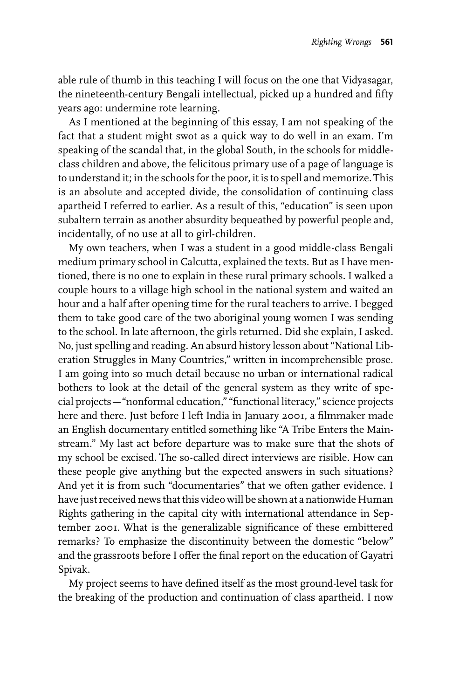able rule of thumb in this teaching I will focus on the one that Vidyasagar, the nineteenth-century Bengali intellectual, picked up a hundred and fifty years ago: undermine rote learning.

As I mentioned at the beginning of this essay, I am not speaking of the fact that a student might swot as a quick way to do well in an exam. I'm speaking of the scandal that, in the global South, in the schools for middleclass children and above, the felicitous primary use of a page of language is to understand it; in the schools for the poor, it is to spell and memorize.This is an absolute and accepted divide, the consolidation of continuing class apartheid I referred to earlier. As a result of this, "education" is seen upon subaltern terrain as another absurdity bequeathed by powerful people and, incidentally, of no use at all to girl-children.

My own teachers, when I was a student in a good middle-class Bengali medium primary school in Calcutta, explained the texts. But as I have mentioned, there is no one to explain in these rural primary schools. I walked a couple hours to a village high school in the national system and waited an hour and a half after opening time for the rural teachers to arrive. I begged them to take good care of the two aboriginal young women I was sending to the school. In late afternoon, the girls returned. Did she explain, I asked. No, just spelling and reading. An absurd history lesson about ''National Liberation Struggles in Many Countries,'' written in incomprehensible prose. I am going into so much detail because no urban or international radical bothers to look at the detail of the general system as they write of special projects—''nonformal education,'' ''functional literacy,'' science projects here and there. Just before I left India in January 2001, a filmmaker made an English documentary entitled something like ''A Tribe Enters the Mainstream.'' My last act before departure was to make sure that the shots of my school be excised. The so-called direct interviews are risible. How can these people give anything but the expected answers in such situations? And yet it is from such "documentaries" that we often gather evidence. I have just received news that this video will be shown at a nationwide Human Rights gathering in the capital city with international attendance in September 2001. What is the generalizable significance of these embittered remarks? To emphasize the discontinuity between the domestic ''below'' and the grassroots before I offer the final report on the education of Gayatri Spivak.

My project seems to have defined itself as the most ground-level task for the breaking of the production and continuation of class apartheid. I now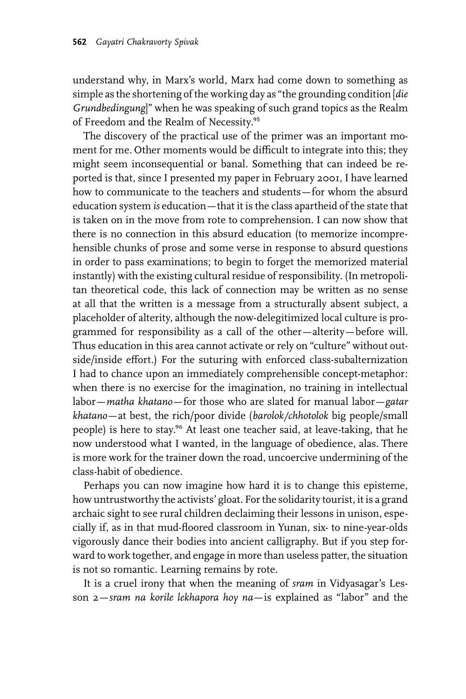understand why, in Marx's world, Marx had come down to something as simple as the shortening of the working day as "the grounding condition [die Grundbedingung]'' when he was speaking of such grand topics as the Realm of Freedom and the Realm of Necessity.<sup>95</sup>

The discovery of the practical use of the primer was an important moment for me. Other moments would be difficult to integrate into this; they might seem inconsequential or banal. Something that can indeed be reported is that, since I presented my paper in February 2001, I have learned how to communicate to the teachers and students—for whom the absurd education system is education—that it is the class apartheid of the state that is taken on in the move from rote to comprehension. I can now show that there is no connection in this absurd education (to memorize incomprehensible chunks of prose and some verse in response to absurd questions in order to pass examinations; to begin to forget the memorized material instantly) with the existing cultural residue of responsibility. (In metropolitan theoretical code, this lack of connection may be written as no sense at all that the written is a message from a structurally absent subject, a placeholder of alterity, although the now-delegitimized local culture is programmed for responsibility as a call of the other—alterity—before will. Thus education in this area cannot activate or rely on "culture" without outside/inside effort.) For the suturing with enforced class-subalternization I had to chance upon an immediately comprehensible concept-metaphor: when there is no exercise for the imagination, no training in intellectual labor—matha khatano—for those who are slated for manual labor—gatar khatano—at best, the rich/poor divide (barolok/chhotolok big people/small people) is here to stay.<sup>96</sup> At least one teacher said, at leave-taking, that he now understood what I wanted, in the language of obedience, alas. There is more work for the trainer down the road, uncoercive undermining of the class-habit of obedience.

Perhaps you can now imagine how hard it is to change this episteme, how untrustworthy the activists' gloat. For the solidarity tourist, it is a grand archaic sight to see rural children declaiming their lessons in unison, especially if, as in that mud-floored classroom in Yunan, six- to nine-year-olds vigorously dance their bodies into ancient calligraphy. But if you step forward to work together, and engage in more than useless patter, the situation is not so romantic. Learning remains by rote.

It is a cruel irony that when the meaning of sram in Vidyasagar's Lesson  $2$ -sram na korile lekhapora hoy na-is explained as "labor" and the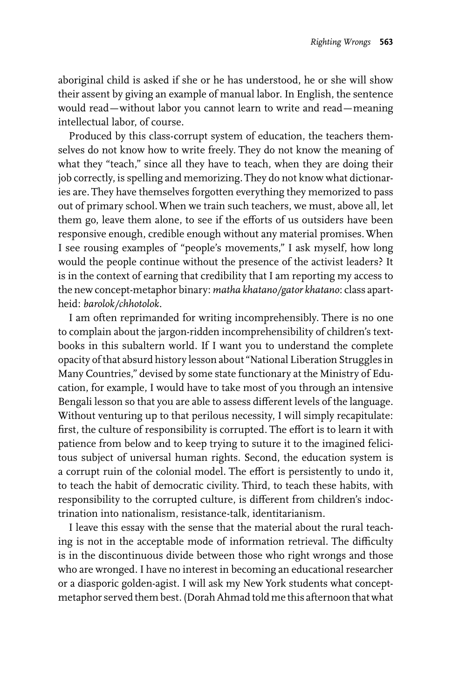aboriginal child is asked if she or he has understood, he or she will show their assent by giving an example of manual labor. In English, the sentence would read—without labor you cannot learn to write and read—meaning intellectual labor, of course.

Produced by this class-corrupt system of education, the teachers themselves do not know how to write freely. They do not know the meaning of what they "teach," since all they have to teach, when they are doing their job correctly, is spelling and memorizing. They do not know what dictionaries are. They have themselves forgotten everything they memorized to pass out of primary school.When we train such teachers, we must, above all, let them go, leave them alone, to see if the efforts of us outsiders have been responsive enough, credible enough without any material promises.When I see rousing examples of ''people's movements,'' I ask myself, how long would the people continue without the presence of the activist leaders? It is in the context of earning that credibility that I am reporting my access to the new concept-metaphor binary: matha khatano/gator khatano: class apartheid: barolok/chhotolok.

I am often reprimanded for writing incomprehensibly. There is no one to complain about the jargon-ridden incomprehensibility of children's textbooks in this subaltern world. If I want you to understand the complete opacity of that absurd history lesson about ''National Liberation Struggles in Many Countries,'' devised by some state functionary at the Ministry of Education, for example, I would have to take most of you through an intensive Bengali lesson so that you are able to assess different levels of the language. Without venturing up to that perilous necessity, I will simply recapitulate: first, the culture of responsibility is corrupted. The effort is to learn it with patience from below and to keep trying to suture it to the imagined felicitous subject of universal human rights. Second, the education system is a corrupt ruin of the colonial model. The effort is persistently to undo it, to teach the habit of democratic civility. Third, to teach these habits, with responsibility to the corrupted culture, is different from children's indoctrination into nationalism, resistance-talk, identitarianism.

I leave this essay with the sense that the material about the rural teaching is not in the acceptable mode of information retrieval. The difficulty is in the discontinuous divide between those who right wrongs and those who are wronged. I have no interest in becoming an educational researcher or a diasporic golden-agist. I will ask my New York students what conceptmetaphor served them best. (Dorah Ahmad told me this afternoon that what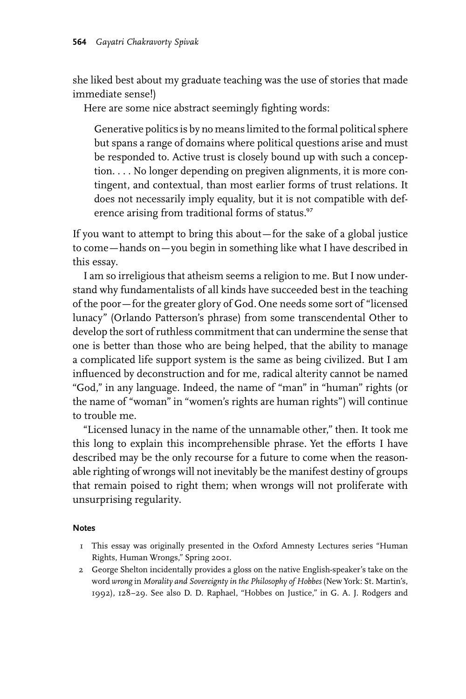she liked best about my graduate teaching was the use of stories that made immediate sense!)

Here are some nice abstract seemingly fighting words:

Generative politics is by no means limited to the formal political sphere but spans a range of domains where political questions arise and must be responded to. Active trust is closely bound up with such a conception. . . . No longer depending on pregiven alignments, it is more contingent, and contextual, than most earlier forms of trust relations. It does not necessarily imply equality, but it is not compatible with deference arising from traditional forms of status.<sup>97</sup>

If you want to attempt to bring this about—for the sake of a global justice to come—hands on—you begin in something like what I have described in this essay.

I am so irreligious that atheism seems a religion to me. But I now understand why fundamentalists of all kinds have succeeded best in the teaching of the poor—for the greater glory of God. One needs some sort of ''licensed lunacy'' (Orlando Patterson's phrase) from some transcendental Other to develop the sort of ruthless commitment that can undermine the sense that one is better than those who are being helped, that the ability to manage a complicated life support system is the same as being civilized. But I am influenced by deconstruction and for me, radical alterity cannot be named "God," in any language. Indeed, the name of "man" in "human" rights (or the name of ''woman'' in ''women's rights are human rights'') will continue to trouble me.

''Licensed lunacy in the name of the unnamable other,'' then. It took me this long to explain this incomprehensible phrase. Yet the efforts I have described may be the only recourse for a future to come when the reasonable righting of wrongs will not inevitably be the manifest destiny of groups that remain poised to right them; when wrongs will not proliferate with unsurprising regularity.

## Notes

- 1 This essay was originally presented in the Oxford Amnesty Lectures series ''Human Rights, Human Wrongs,'' Spring 2001.
- 2 George Shelton incidentally provides a gloss on the native English-speaker's take on the word wrong in Morality and Sovereignty in the Philosophy of Hobbes (New York: St. Martin's, 1992), 128–29. See also D. D. Raphael, ''Hobbes on Justice,'' in G. A. J. Rodgers and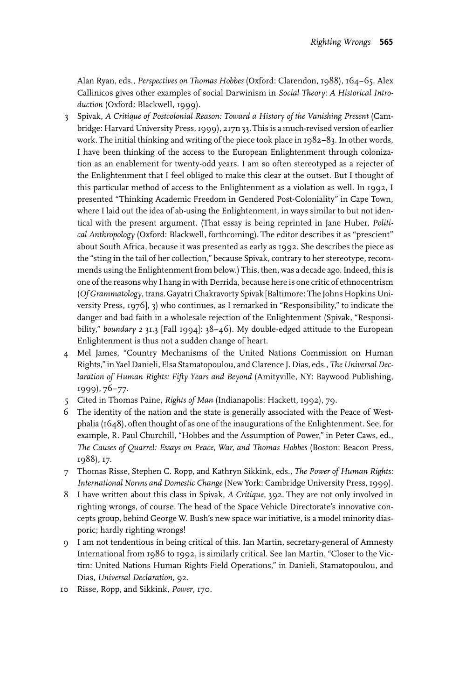Alan Ryan, eds., Perspectives on Thomas Hobbes (Oxford: Clarendon, 1988), 164–65. Alex Callinicos gives other examples of social Darwinism in Social Theory: A Historical Introduction (Oxford: Blackwell, 1999).

- 3 Spivak, A Critique of Postcolonial Reason: Toward a History of the Vanishing Present (Cambridge: Harvard University Press, 1999), 217n 33.This is a much-revised version of earlier work. The initial thinking and writing of the piece took place in 1982–83. In other words, I have been thinking of the access to the European Enlightenment through colonization as an enablement for twenty-odd years. I am so often stereotyped as a rejecter of the Enlightenment that I feel obliged to make this clear at the outset. But I thought of this particular method of access to the Enlightenment as a violation as well. In 1992, I presented ''Thinking Academic Freedom in Gendered Post-Coloniality'' in Cape Town, where I laid out the idea of ab-using the Enlightenment, in ways similar to but not identical with the present argument. (That essay is being reprinted in Jane Huber, Political Anthropology (Oxford: Blackwell, forthcoming). The editor describes it as ''prescient'' about South Africa, because it was presented as early as 1992. She describes the piece as the "sting in the tail of her collection," because Spivak, contrary to her stereotype, recommends using the Enlightenment from below.) This, then, was a decade ago. Indeed, this is one of the reasons why I hang in with Derrida, because here is one critic of ethnocentrism (Of Grammatology, trans.Gayatri Chakravorty Spivak [Baltimore: The Johns Hopkins University Press, 1976], 3) who continues, as I remarked in ''Responsibility,'' to indicate the danger and bad faith in a wholesale rejection of the Enlightenment (Spivak, ''Responsibility," boundary 2 31.3 [Fall 1994]:  $38-46$ ). My double-edged attitude to the European Enlightenment is thus not a sudden change of heart.
- 4 Mel James, "Country Mechanisms of the United Nations Commission on Human Rights,'' in Yael Danieli, Elsa Stamatopoulou, and Clarence J. Dias, eds., The Universal Declaration of Human Rights: Fifty Years and Beyond (Amityville, NY: Baywood Publishing, 1999), 76–77.
- 5 Cited in Thomas Paine, Rights of Man (Indianapolis: Hackett, 1992), 79.
- 6 The identity of the nation and the state is generally associated with the Peace of Westphalia (1648), often thought of as one of the inaugurations of the Enlightenment. See, for example, R. Paul Churchill, "Hobbes and the Assumption of Power," in Peter Caws, ed., The Causes of Quarrel: Essays on Peace, War, and Thomas Hobbes (Boston: Beacon Press, 1988), 17.
- 7 Thomas Risse, Stephen C. Ropp, and Kathryn Sikkink, eds., The Power of Human Rights: International Norms and Domestic Change (New York: Cambridge University Press, 1999).
- 8 I have written about this class in Spivak, A Critique, 392. They are not only involved in righting wrongs, of course. The head of the Space Vehicle Directorate's innovative concepts group, behind George W. Bush's new space war initiative, is a model minority diasporic; hardly righting wrongs!
- 9 I am not tendentious in being critical of this. Ian Martin, secretary-general of Amnesty International from 1986 to 1992, is similarly critical. See Ian Martin, ''Closer to the Victim: United Nations Human Rights Field Operations,'' in Danieli, Stamatopoulou, and Dias, Universal Declaration, 92.
- 10 Risse, Ropp, and Sikkink, Power, 170.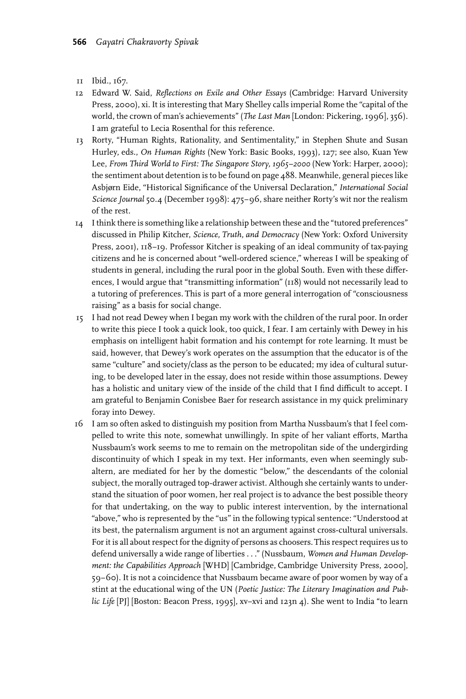- 11 Ibid., 167.
- 12 Edward W. Said, Reflections on Exile and Other Essays (Cambridge: Harvard University Press, 2000), xi. It is interesting that Mary Shelley calls imperial Rome the "capital of the world, the crown of man's achievements'' (The Last Man [London: Pickering, 1996], 356). I am grateful to Lecia Rosenthal for this reference.
- 13 Rorty, "Human Rights, Rationality, and Sentimentality," in Stephen Shute and Susan Hurley, eds., On Human Rights (New York: Basic Books, 1993), 127; see also, Kuan Yew Lee, From Third World to First: The Singapore Story, 1965–2000 (New York: Harper, 2000); the sentiment about detention is to be found on page 488. Meanwhile, general pieces like Asbjørn Eide, "Historical Significance of the Universal Declaration," International Social Science Journal 50.4 (December 1998): 475–96, share neither Rorty's wit nor the realism of the rest.
- 14 I think there is something like a relationship between these and the ''tutored preferences'' discussed in Philip Kitcher, Science, Truth, and Democracy (New York: Oxford University Press, 2001), 118–19. Professor Kitcher is speaking of an ideal community of tax-paying citizens and he is concerned about ''well-ordered science,'' whereas I will be speaking of students in general, including the rural poor in the global South. Even with these differences, I would argue that ''transmitting information'' (118) would not necessarily lead to a tutoring of preferences. This is part of a more general interrogation of ''consciousness raising'' as a basis for social change.
- 15 I had not read Dewey when I began my work with the children of the rural poor. In order to write this piece I took a quick look, too quick, I fear. I am certainly with Dewey in his emphasis on intelligent habit formation and his contempt for rote learning. It must be said, however, that Dewey's work operates on the assumption that the educator is of the same "culture" and society/class as the person to be educated; my idea of cultural suturing, to be developed later in the essay, does not reside within those assumptions. Dewey has a holistic and unitary view of the inside of the child that I find difficult to accept. I am grateful to Benjamin Conisbee Baer for research assistance in my quick preliminary foray into Dewey.
- 16 I am so often asked to distinguish my position from Martha Nussbaum's that I feel compelled to write this note, somewhat unwillingly. In spite of her valiant efforts, Martha Nussbaum's work seems to me to remain on the metropolitan side of the undergirding discontinuity of which I speak in my text. Her informants, even when seemingly subaltern, are mediated for her by the domestic "below," the descendants of the colonial subject, the morally outraged top-drawer activist. Although she certainly wants to understand the situation of poor women, her real project is to advance the best possible theory for that undertaking, on the way to public interest intervention, by the international "above," who is represented by the "us" in the following typical sentence: "Understood at its best, the paternalism argument is not an argument against cross-cultural universals. For it is all about respect for the dignity of persons as choosers. This respect requires us to defend universally a wide range of liberties . . ." (Nussbaum, Women and Human Development: the Capabilities Approach [WHD] [Cambridge, Cambridge University Press, 2000], 59–60). It is not a coincidence that Nussbaum became aware of poor women by way of a stint at the educational wing of the UN (Poetic Justice: The Literary Imagination and Public Life [PJ] [Boston: Beacon Press, 1995], xv-xvi and 123n 4). She went to India "to learn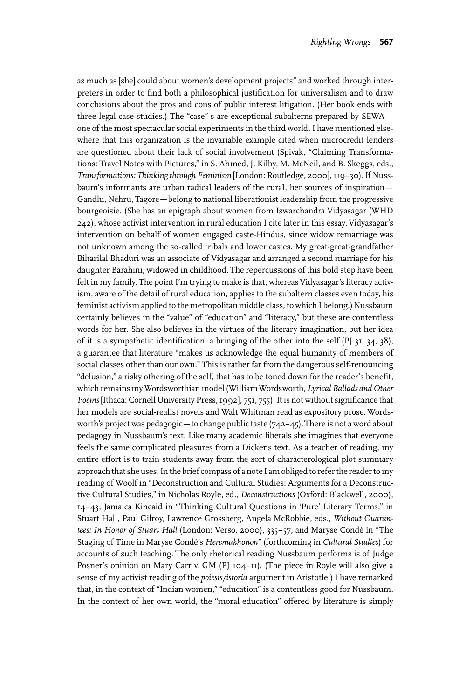as much as [she] could about women's development projects'' and worked through interpreters in order to find both a philosophical justification for universalism and to draw conclusions about the pros and cons of public interest litigation. (Her book ends with three legal case studies.) The "case"-s are exceptional subalterns prepared by SEWAone of the most spectacular social experiments in the third world. I have mentioned elsewhere that this organization is the invariable example cited when microcredit lenders are questioned about their lack of social involvement (Spivak, ''Claiming Transformations: Travel Notes with Pictures," in S. Ahmed, J. Kilby, M. McNeil, and B. Skeggs, eds., Transformations: Thinking through Feminism [London: Routledge, 2000], 119–30). If Nussbaum's informants are urban radical leaders of the rural, her sources of inspiration— Gandhi, Nehru, Tagore—belong to national liberationist leadership from the progressive bourgeoisie. (She has an epigraph about women from Iswarchandra Vidyasagar (WHD 242), whose activist intervention in rural education I cite later in this essay. Vidyasagar's intervention on behalf of women engaged caste-Hindus, since widow remarriage was not unknown among the so-called tribals and lower castes. My great-great-grandfather Biharilal Bhaduri was an associate of Vidyasagar and arranged a second marriage for his daughter Barahini, widowed in childhood. The repercussions of this bold step have been felt in my family. The point I'm trying to make is that, whereas Vidyasagar's literacy activism, aware of the detail of rural education, applies to the subaltern classes even today, his feminist activism applied to the metropolitan middle class, to which I belong.) Nussbaum certainly believes in the "value" of "education" and "literacy," but these are contentless words for her. She also believes in the virtues of the literary imagination, but her idea of it is a sympathetic identification, a bringing of the other into the self (PJ 31, 34, 38), a guarantee that literature ''makes us acknowledge the equal humanity of members of social classes other than our own.'' This is rather far from the dangerous self-renouncing "delusion," a risky othering of the self, that has to be toned down for the reader's benefit, which remains myWordsworthian model (WilliamWordsworth, Lyrical Ballads and Other Poems [Ithaca: Cornell University Press, 1992], 751, 755). It is not without significance that her models are social-realist novels and Walt Whitman read as expository prose. Wordsworth's project was pedagogic—to change public taste  $(742-45)$ . There is not a word about pedagogy in Nussbaum's text. Like many academic liberals she imagines that everyone feels the same complicated pleasures from a Dickens text. As a teacher of reading, my entire effort is to train students away from the sort of characterological plot summary approach that she uses. In the brief compass of a note I am obliged to refer the reader to my reading of Woolf in ''Deconstruction and Cultural Studies: Arguments for a Deconstructive Cultural Studies," in Nicholas Royle, ed., Deconstructions (Oxford: Blackwell, 2000), 14–43, Jamaica Kincaid in ''Thinking Cultural Questions in 'Pure' Literary Terms,'' in Stuart Hall, Paul Gilroy, Lawrence Grossberg, Angela McRobbie, eds., Without Guarantees: In Honor of Stuart Hall (London: Verso, 2000), 335–57, and Maryse Condé in ''The Staging of Time in Maryse Condé's Heremakhonon'' (forthcoming in Cultural Studies) for accounts of such teaching. The only rhetorical reading Nussbaum performs is of Judge Posner's opinion on Mary Carr v. GM (PJ 104-11). (The piece in Royle will also give a sense of my activist reading of the poiesis/istoria argument in Aristotle.) I have remarked that, in the context of "Indian women," "education" is a contentless good for Nussbaum. In the context of her own world, the ''moral education'' offered by literature is simply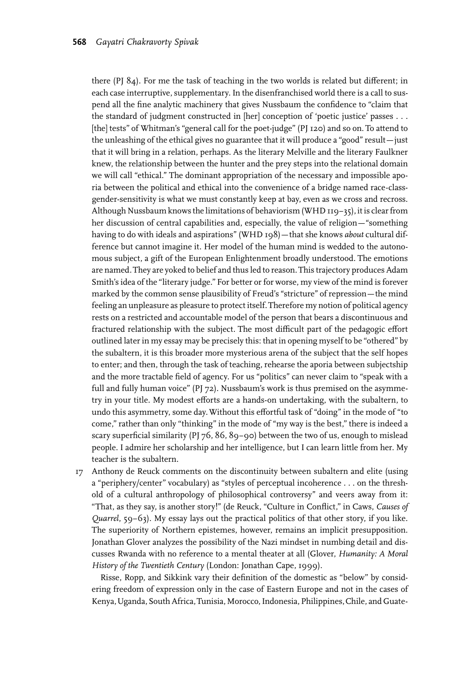there (PJ 84). For me the task of teaching in the two worlds is related but different; in each case interruptive, supplementary. In the disenfranchised world there is a call to suspend all the fine analytic machinery that gives Nussbaum the confidence to ''claim that the standard of judgment constructed in [her] conception of 'poetic justice' passes . . . [the] tests" of Whitman's "general call for the poet-judge" (PJ 120) and so on. To attend to the unleashing of the ethical gives no guarantee that it will produce a ''good'' result—just that it will bring in a relation, perhaps. As the literary Melville and the literary Faulkner knew, the relationship between the hunter and the prey steps into the relational domain we will call "ethical." The dominant appropriation of the necessary and impossible aporia between the political and ethical into the convenience of a bridge named race-classgender-sensitivity is what we must constantly keep at bay, even as we cross and recross. Although Nussbaum knows the limitations of behaviorism (WHD 119–35), it is clear from her discussion of central capabilities and, especially, the value of religion—''something having to do with ideals and aspirations" (WHD 198)-that she knows about cultural difference but cannot imagine it. Her model of the human mind is wedded to the autonomous subject, a gift of the European Enlightenment broadly understood. The emotions are named.They are yoked to belief and thus led to reason.This trajectory produces Adam Smith's idea of the "literary judge." For better or for worse, my view of the mind is forever marked by the common sense plausibility of Freud's ''stricture'' of repression—the mind feeling an unpleasure as pleasure to protect itself.Therefore my notion of political agency rests on a restricted and accountable model of the person that bears a discontinuous and fractured relationship with the subject. The most difficult part of the pedagogic effort outlined later in my essay may be precisely this: that in opening myself to be ''othered'' by the subaltern, it is this broader more mysterious arena of the subject that the self hopes to enter; and then, through the task of teaching, rehearse the aporia between subjectship and the more tractable field of agency. For us "politics" can never claim to "speak with a full and fully human voice" (PJ 72). Nussbaum's work is thus premised on the asymmetry in your title. My modest efforts are a hands-on undertaking, with the subaltern, to undo this asymmetry, some day.Without this effortful task of ''doing'' in the mode of ''to come," rather than only "thinking" in the mode of "my way is the best," there is indeed a scary superficial similarity (PJ 76, 86, 89–90) between the two of us, enough to mislead people. I admire her scholarship and her intelligence, but I can learn little from her. My teacher is the subaltern.

17 Anthony de Reuck comments on the discontinuity between subaltern and elite (using a "periphery/center" vocabulary) as "styles of perceptual incoherence . . . on the threshold of a cultural anthropology of philosophical controversy'' and veers away from it: "That, as they say, is another story!" (de Reuck, "Culture in Conflict," in Caws, Causes of Quarrel, 59–63). My essay lays out the practical politics of that other story, if you like. The superiority of Northern epistemes, however, remains an implicit presupposition. Jonathan Glover analyzes the possibility of the Nazi mindset in numbing detail and discusses Rwanda with no reference to a mental theater at all (Glover, Humanity: A Moral History of the Twentieth Century (London: Jonathan Cape, 1999).

Risse, Ropp, and Sikkink vary their definition of the domestic as ''below'' by considering freedom of expression only in the case of Eastern Europe and not in the cases of Kenya,Uganda, South Africa,Tunisia, Morocco, Indonesia, Philippines,Chile, and Guate-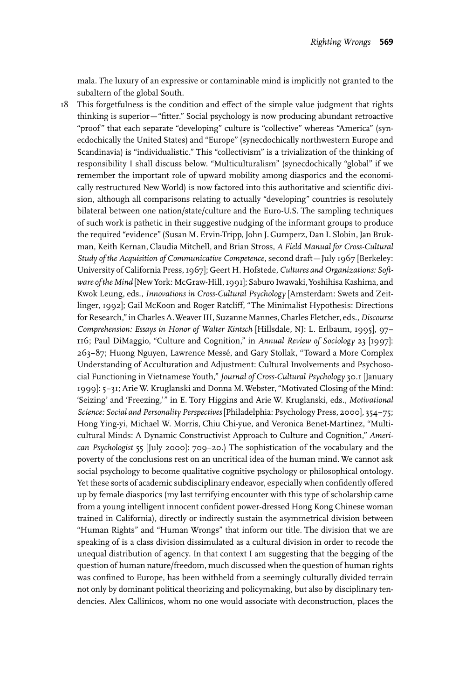mala. The luxury of an expressive or contaminable mind is implicitly not granted to the subaltern of the global South.

18 This forgetfulness is the condition and effect of the simple value judgment that rights thinking is superior—"fitter." Social psychology is now producing abundant retroactive "proof" that each separate "developing" culture is "collective" whereas "America" (synecdochically the United States) and ''Europe'' (synecdochically northwestern Europe and Scandinavia) is "individualistic." This "collectivism" is a trivialization of the thinking of responsibility I shall discuss below. "Multiculturalism" (synecdochically "global" if we remember the important role of upward mobility among diasporics and the economically restructured New World) is now factored into this authoritative and scientific division, although all comparisons relating to actually ''developing'' countries is resolutely bilateral between one nation/state/culture and the Euro-U.S. The sampling techniques of such work is pathetic in their suggestive nudging of the informant groups to produce the required "evidence" (Susan M. Ervin-Tripp, John J. Gumperz, Dan I. Slobin, Jan Brukman, Keith Kernan, Claudia Mitchell, and Brian Stross, A Field Manual for Cross-Cultural Study of the Acquisition of Communicative Competence, second draft—July 1967 [Berkeley: University of California Press, 1967]; Geert H. Hofstede, Cultures and Organizations: Software of the Mind [New York: McGraw-Hill, 1991]; Saburo Iwawaki,Yoshihisa Kashima, and Kwok Leung, eds., Innovations in Cross-Cultural Psychology [Amsterdam: Swets and Zeitlinger, 1992]; Gail McKoon and Roger Ratcliff, ''The Minimalist Hypothesis: Directions for Research,'' in Charles A.Weaver III, Suzanne Mannes,Charles Fletcher, eds., Discourse Comprehension: Essays in Honor of Walter Kintsch [Hillsdale, NJ: L. Erlbaum, 1995], 97– 116; Paul DiMaggio, ''Culture and Cognition,'' in Annual Review of Sociology 23 [1997]: 263–87; Huong Nguyen, Lawrence Messé, and Gary Stollak, ''Toward a More Complex Understanding of Acculturation and Adjustment: Cultural Involvements and Psychosocial Functioning in Vietnamese Youth,'' Journal of Cross-Cultural Psychology 30.1 [January 1999]: 5–31; Arie W. Kruglanski and Donna M.Webster, ''Motivated Closing of the Mind: 'Seizing' and 'Freezing,''' in E. Tory Higgins and Arie W. Kruglanski, eds., Motivational Science: Social and Personality Perspectives [Philadelphia: Psychology Press, 2000], 354–75; Hong Ying-yi, Michael W. Morris, Chiu Chi-yue, and Veronica Benet-Martinez, ''Multicultural Minds: A Dynamic Constructivist Approach to Culture and Cognition,'' American Psychologist 55 [July 2000]: 709–20.) The sophistication of the vocabulary and the poverty of the conclusions rest on an uncritical idea of the human mind. We cannot ask social psychology to become qualitative cognitive psychology or philosophical ontology. Yet these sorts of academic subdisciplinary endeavor, especially when confidently offered up by female diasporics (my last terrifying encounter with this type of scholarship came from a young intelligent innocent confident power-dressed Hong Kong Chinese woman trained in California), directly or indirectly sustain the asymmetrical division between ''Human Rights'' and ''Human Wrongs'' that inform our title. The division that we are speaking of is a class division dissimulated as a cultural division in order to recode the unequal distribution of agency. In that context I am suggesting that the begging of the question of human nature/freedom, much discussed when the question of human rights was confined to Europe, has been withheld from a seemingly culturally divided terrain not only by dominant political theorizing and policymaking, but also by disciplinary tendencies. Alex Callinicos, whom no one would associate with deconstruction, places the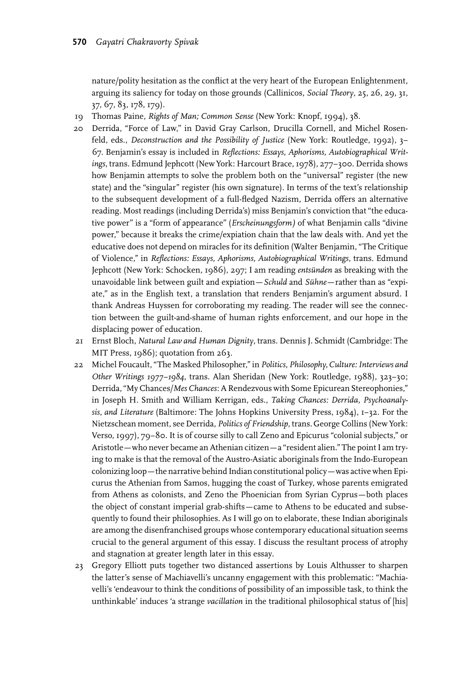nature/polity hesitation as the conflict at the very heart of the European Enlightenment, arguing its saliency for today on those grounds (Callinicos, Social Theory, 25, 26, 29, 31, 37, 67, 83, 178, 179).

- 19 Thomas Paine, Rights of Man; Common Sense (New York: Knopf, 1994), 38.
- 20 Derrida, ''Force of Law,'' in David Gray Carlson, Drucilla Cornell, and Michel Rosenfeld, eds., Deconstruction and the Possibility of Justice (New York: Routledge, 1992), 3– 67. Benjamin's essay is included in Reflections: Essays, Aphorisms, Autobiographical Writings, trans. Edmund Jephcott (New York: Harcourt Brace, 1978), 277–300. Derrida shows how Benjamin attempts to solve the problem both on the "universal" register (the new state) and the "singular" register (his own signature). In terms of the text's relationship to the subsequent development of a full-fledged Nazism, Derrida offers an alternative reading. Most readings (including Derrida's) miss Benjamin's conviction that ''the educative power" is a "form of appearance" (*Erscheinungsform*) of what Benjamin calls "divine" power,'' because it breaks the crime/expiation chain that the law deals with. And yet the educative does not depend on miracles for its definition (Walter Benjamin, ''The Critique of Violence,'' in Reflections: Essays, Aphorisms, Autobiographical Writings, trans. Edmund Jephcott (New York: Schocken, 1986), 297; I am reading entsünden as breaking with the unavoidable link between guilt and expiation-Schuld and Sühne-rather than as "expiate," as in the English text, a translation that renders Benjamin's argument absurd. I thank Andreas Huyssen for corroborating my reading. The reader will see the connection between the guilt-and-shame of human rights enforcement, and our hope in the displacing power of education.
- 21 Ernst Bloch, Natural Law and Human Dignity, trans. Dennis J. Schmidt (Cambridge: The MIT Press, 1986); quotation from 263.
- 22 Michel Foucault, "The Masked Philosopher," in Politics, Philosophy, Culture: Interviews and Other Writings 1977–1984, trans. Alan Sheridan (New York: Routledge, 1988), 323–30; Derrida, ''My Chances/Mes Chances: A Rendezvous with Some Epicurean Stereophonies,'' in Joseph H. Smith and William Kerrigan, eds., Taking Chances: Derrida, Psychoanalysis, and Literature (Baltimore: The Johns Hopkins University Press, 1984), 1–32. For the Nietzschean moment, see Derrida, Politics of Friendship, trans. George Collins (New York: Verso, 1997), 79-80. It is of course silly to call Zeno and Epicurus "colonial subjects," or Aristotle—who never became an Athenian citizen—a "resident alien." The point I am trying to make is that the removal of the Austro-Asiatic aboriginals from the Indo-European colonizing loop—the narrative behind Indian constitutional policy—was active when Epicurus the Athenian from Samos, hugging the coast of Turkey, whose parents emigrated from Athens as colonists, and Zeno the Phoenician from Syrian Cyprus—both places the object of constant imperial grab-shifts—came to Athens to be educated and subsequently to found their philosophies. As I will go on to elaborate, these Indian aboriginals are among the disenfranchised groups whose contemporary educational situation seems crucial to the general argument of this essay. I discuss the resultant process of atrophy and stagnation at greater length later in this essay.
- 23 Gregory Elliott puts together two distanced assertions by Louis Althusser to sharpen the latter's sense of Machiavelli's uncanny engagement with this problematic: ''Machiavelli's 'endeavour to think the conditions of possibility of an impossible task, to think the unthinkable' induces 'a strange vacillation in the traditional philosophical status of [his]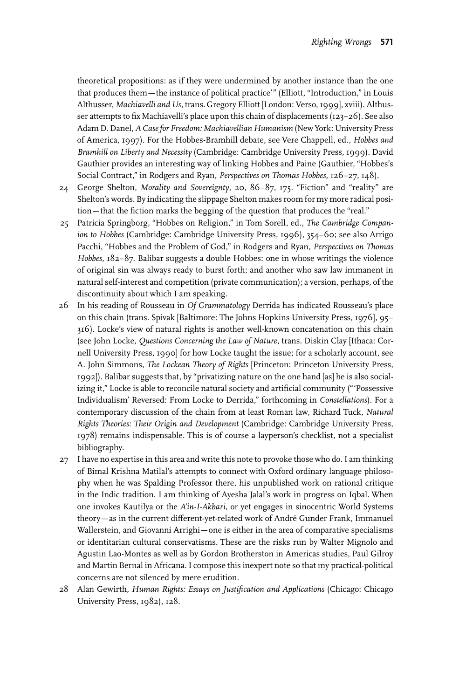theoretical propositions: as if they were undermined by another instance than the one that produces them—the instance of political practice'" (Elliott, "Introduction," in Louis Althusser, Machiavelli and Us, trans. Gregory Elliott [London: Verso, 1999], xviii). Althusser attempts to fix Machiavelli's place upon this chain of displacements (123–26). See also Adam D. Danel, A Case for Freedom: Machiavellian Humanism (New York: University Press of America, 1997). For the Hobbes-Bramhill debate, see Vere Chappell, ed., Hobbes and Bramhill on Liberty and Necessity (Cambridge: Cambridge University Press, 1999). David Gauthier provides an interesting way of linking Hobbes and Paine (Gauthier, ''Hobbes's Social Contract," in Rodgers and Ryan, Perspectives on Thomas Hobbes, 126-27, 148).

- 24 George Shelton, Morality and Sovereignty, 20, 86–87, 175. ''Fiction'' and ''reality'' are Shelton's words. By indicating the slippage Shelton makes room for my more radical position—that the fiction marks the begging of the question that produces the "real."
- 25 Patricia Springborg, ''Hobbes on Religion,'' in Tom Sorell, ed., The Cambridge Companion to Hobbes (Cambridge: Cambridge University Press, 1996), 354–60; see also Arrigo Pacchi, "Hobbes and the Problem of God," in Rodgers and Ryan, Perspectives on Thomas Hobbes, 182–87. Balibar suggests a double Hobbes: one in whose writings the violence of original sin was always ready to burst forth; and another who saw law immanent in natural self-interest and competition (private communication); a version, perhaps, of the discontinuity about which I am speaking.
- 26 In his reading of Rousseau in Of Grammatology Derrida has indicated Rousseau's place on this chain (trans. Spivak [Baltimore: The Johns Hopkins University Press, 1976], 95– 316). Locke's view of natural rights is another well-known concatenation on this chain (see John Locke, Questions Concerning the Law of Nature, trans. Diskin Clay [Ithaca: Cornell University Press, 1990] for how Locke taught the issue; for a scholarly account, see A. John Simmons, The Lockean Theory of Rights [Princeton: Princeton University Press, 1992]). Balibar suggests that, by ''privatizing nature on the one hand [as] he is also socializing it,'' Locke is able to reconcile natural society and artificial community ('''Possessive Individualism' Reversed: From Locke to Derrida,'' forthcoming in Constellations). For a contemporary discussion of the chain from at least Roman law, Richard Tuck, Natural Rights Theories: Their Origin and Development (Cambridge: Cambridge University Press, 1978) remains indispensable. This is of course a layperson's checklist, not a specialist bibliography.
- 27 I have no expertise in this area and write this note to provoke those who do. I am thinking of Bimal Krishna Matilal's attempts to connect with Oxford ordinary language philosophy when he was Spalding Professor there, his unpublished work on rational critique in the Indic tradition. I am thinking of Ayesha Jalal's work in progress on Iqbal. When one invokes Kautilya or the A'in-I-Akbari, or yet engages in sinocentric World Systems theory—as in the current different-yet-related work of André Gunder Frank, Immanuel Wallerstein, and Giovanni Arrighi—one is either in the area of comparative specialisms or identitarian cultural conservatisms. These are the risks run by Walter Mignolo and Agustin Lao-Montes as well as by Gordon Brotherston in Americas studies, Paul Gilroy and Martin Bernal in Africana. I compose this inexpert note so that my practical-political concerns are not silenced by mere erudition.
- 28 Alan Gewirth, Human Rights: Essays on Justification and Applications (Chicago: Chicago University Press, 1982), 128.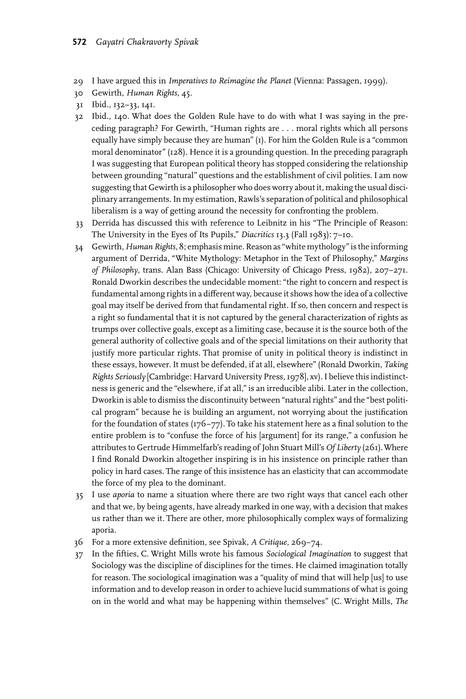- 29 I have argued this in Imperatives to Reimagine the Planet (Vienna: Passagen, 1999).
- 30 Gewirth, Human Rights, 45.
- 31 Ibid., 132–33, 141.
- 32 Ibid., 140. What does the Golden Rule have to do with what I was saying in the preceding paragraph? For Gewirth, "Human rights are . . . moral rights which all persons equally have simply because they are human" (1). For him the Golden Rule is a "common moral denominator'' (128). Hence it is a grounding question. In the preceding paragraph I was suggesting that European political theory has stopped considering the relationship between grounding "natural" questions and the establishment of civil polities. I am now suggesting that Gewirth is a philosopher who does worry about it, making the usual disciplinary arrangements. In my estimation, Rawls's separation of political and philosophical liberalism is a way of getting around the necessity for confronting the problem.
- 33 Derrida has discussed this with reference to Leibnitz in his ''The Principle of Reason: The University in the Eyes of Its Pupils,'' Diacritics 13.3 (Fall 1983): 7–10.
- 34 Gewirth, Human Rights, 8; emphasis mine. Reason as ''white mythology'' is the informing argument of Derrida, ''White Mythology: Metaphor in the Text of Philosophy,'' Margins of Philosophy, trans. Alan Bass (Chicago: University of Chicago Press, 1982), 207–271. Ronald Dworkin describes the undecidable moment: ''the right to concern and respect is fundamental among rights in a different way, because it shows how the idea of a collective goal may itself be derived from that fundamental right. If so, then concern and respect is a right so fundamental that it is not captured by the general characterization of rights as trumps over collective goals, except as a limiting case, because it is the source both of the general authority of collective goals and of the special limitations on their authority that justify more particular rights. That promise of unity in political theory is indistinct in these essays, however. It must be defended, if at all, elsewhere'' (Ronald Dworkin, Taking Rights Seriously [Cambridge: Harvard University Press, 1978], xv). I believe this indistinctness is generic and the ''elsewhere, if at all,'' is an irreducible alibi. Later in the collection, Dworkin is able to dismiss the discontinuity between "natural rights" and the "best political program'' because he is building an argument, not worrying about the justification for the foundation of states ( $176-77$ ). To take his statement here as a final solution to the entire problem is to "confuse the force of his [argument] for its range," a confusion he attributes to Gertrude Himmelfarb's reading of John Stuart Mill's Of Liberty (261). Where I find Ronald Dworkin altogether inspiring is in his insistence on principle rather than policy in hard cases. The range of this insistence has an elasticity that can accommodate the force of my plea to the dominant.
- 35 I use aporia to name a situation where there are two right ways that cancel each other and that we, by being agents, have already marked in one way, with a decision that makes us rather than we it. There are other, more philosophically complex ways of formalizing aporia.
- 36 For a more extensive definition, see Spivak, A Critique, 269–74.
- 37 In the fifties, C. Wright Mills wrote his famous Sociological Imagination to suggest that Sociology was the discipline of disciplines for the times. He claimed imagination totally for reason. The sociological imagination was a "quality of mind that will help [us] to use information and to develop reason in order to achieve lucid summations of what is going on in the world and what may be happening within themselves'' (C. Wright Mills, The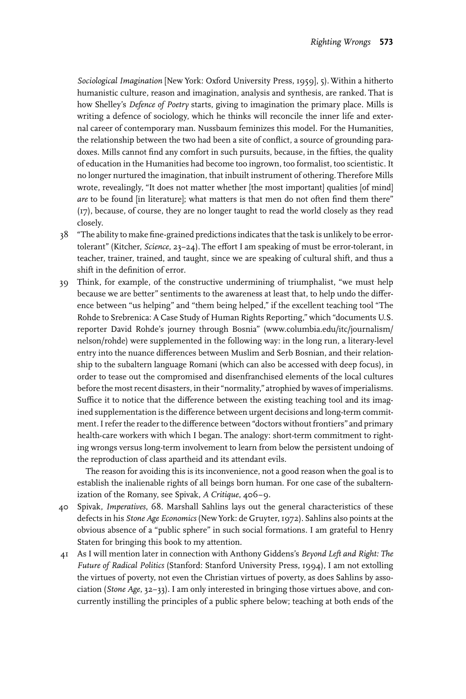Sociological Imagination [New York: Oxford University Press, 1959], 5). Within a hitherto humanistic culture, reason and imagination, analysis and synthesis, are ranked. That is how Shelley's Defence of Poetry starts, giving to imagination the primary place. Mills is writing a defence of sociology, which he thinks will reconcile the inner life and external career of contemporary man. Nussbaum feminizes this model. For the Humanities, the relationship between the two had been a site of conflict, a source of grounding paradoxes. Mills cannot find any comfort in such pursuits, because, in the fifties, the quality of education in the Humanities had become too ingrown, too formalist, too scientistic. It no longer nurtured the imagination, that inbuilt instrument of othering. Therefore Mills wrote, revealingly, "It does not matter whether [the most important] qualities [of mind] are to be found [in literature]; what matters is that men do not often find them there'' (17), because, of course, they are no longer taught to read the world closely as they read closely.

- 38 ''The ability to make fine-grained predictions indicates that the task is unlikely to be errortolerant" (Kitcher, Science,  $23-24$ ). The effort I am speaking of must be error-tolerant, in teacher, trainer, trained, and taught, since we are speaking of cultural shift, and thus a shift in the definition of error.
- 39 Think, for example, of the constructive undermining of triumphalist, ''we must help because we are better'' sentiments to the awareness at least that, to help undo the difference between "us helping" and "them being helped," if the excellent teaching tool "The Rohde to Srebrenica: A Case Study of Human Rights Reporting,'' which ''documents U.S. reporter David Rohde's journey through Bosnia'' (www.columbia.edu/itc/journalism/ nelson/rohde) were supplemented in the following way: in the long run, a literary-level entry into the nuance differences between Muslim and Serb Bosnian, and their relationship to the subaltern language Romani (which can also be accessed with deep focus), in order to tease out the compromised and disenfranchised elements of the local cultures before the most recent disasters, in their ''normality,'' atrophied by waves of imperialisms. Suffice it to notice that the difference between the existing teaching tool and its imagined supplementation is the difference between urgent decisions and long-term commitment. I refer the reader to the difference between ''doctors without frontiers'' and primary health-care workers with which I began. The analogy: short-term commitment to righting wrongs versus long-term involvement to learn from below the persistent undoing of the reproduction of class apartheid and its attendant evils.

The reason for avoiding this is its inconvenience, not a good reason when the goal is to establish the inalienable rights of all beings born human. For one case of the subalternization of the Romany, see Spivak, A Critique, 406–9.

- 40 Spivak, Imperatives, 68. Marshall Sahlins lays out the general characteristics of these defects in his Stone Age Economics (New York: de Gruyter, 1972). Sahlins also points at the obvious absence of a ''public sphere'' in such social formations. I am grateful to Henry Staten for bringing this book to my attention.
- 41 As I will mention later in connection with Anthony Giddens's Beyond Left and Right: The Future of Radical Politics (Stanford: Stanford University Press, 1994), I am not extolling the virtues of poverty, not even the Christian virtues of poverty, as does Sahlins by association (Stone Age, 32–33). I am only interested in bringing those virtues above, and concurrently instilling the principles of a public sphere below; teaching at both ends of the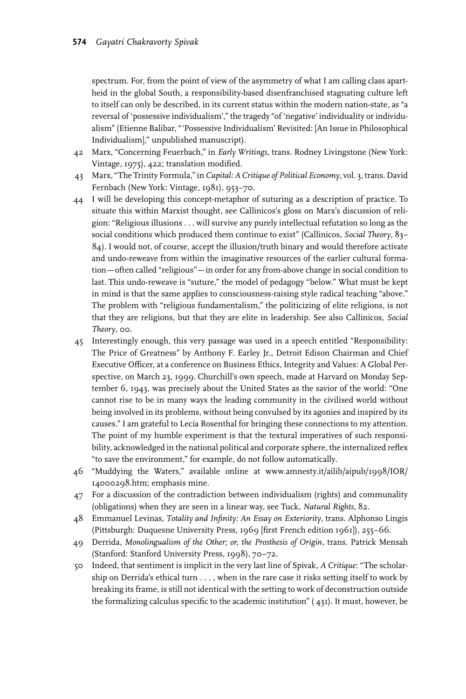spectrum. For, from the point of view of the asymmetry of what I am calling class apartheid in the global South, a responsibility-based disenfranchised stagnating culture left to itself can only be described, in its current status within the modern nation-state, as ''a reversal of 'possessive individualism'," the tragedy "of 'negative' individuality or individualism'' (Etienne Balibar, '''Possessive Individualism' Revisited: [An Issue in Philosophical Individualism],'' unpublished manuscript).

- 42 Marx, "Concerning Feuerbach," in Early Writings, trans. Rodney Livingstone (New York: Vintage, 1975), 422; translation modified.
- 43 Marx, "The Trinity Formula," in Capital: A Critique of Political Economy, vol. 3, trans. David Fernbach (New York: Vintage, 1981), 953–70.
- 44 I will be developing this concept-metaphor of suturing as a description of practice. To situate this within Marxist thought, see Callinicos's gloss on Marx's discussion of religion: ''Religious illusions . . . will survive any purely intellectual refutation so long as the social conditions which produced them continue to exist" (Callinicos, Social Theory, 83-84). I would not, of course, accept the illusion/truth binary and would therefore activate and undo-reweave from within the imaginative resources of the earlier cultural formation—often called ''religious''—in order for any from-above change in social condition to last. This undo-reweave is "suture," the model of pedagogy "below." What must be kept in mind is that the same applies to consciousness-raising style radical teaching "above." The problem with "religious fundamentalism," the politicizing of elite religions, is not that they are religions, but that they are elite in leadership. See also Callinicos, Social Theory, 00.
- 45 Interestingly enough, this very passage was used in a speech entitled ''Responsibility: The Price of Greatness'' by Anthony F. Earley Jr., Detroit Edison Chairman and Chief Executive Officer, at a conference on Business Ethics, Integrity and Values: A Global Perspective, on March 23, 1999. Churchill's own speech, made at Harvard on Monday September 6, 1943, was precisely about the United States as the savior of the world: ''One cannot rise to be in many ways the leading community in the civilised world without being involved in its problems, without being convulsed by its agonies and inspired by its causes.'' I am grateful to Lecia Rosenthal for bringing these connections to my attention. The point of my humble experiment is that the textural imperatives of such responsibility, acknowledged in the national political and corporate sphere, the internalized reflex ''to save the environment,'' for example, do not follow automatically.
- 46 ''Muddying the Waters,'' available online at www.amnesty.it/ailib/aipub/1998/IOR/ 14000298.htm; emphasis mine.
- 47 For a discussion of the contradiction between individualism (rights) and communality (obligations) when they are seen in a linear way, see Tuck, Natural Rights, 82.
- 48 Emmanuel Levinas, Totality and Infinity: An Essay on Exteriority, trans. Alphonso Lingis (Pittsburgh: Duquesne University Press, 1969 [first French edition 1961]), 255–66.
- 49 Derrida, Monolingualism of the Other; or, the Prosthesis of Origin, trans. Patrick Mensah (Stanford: Stanford University Press, 1998), 70–72.
- 50 Indeed, that sentiment is implicit in the very last line of Spivak, A Critique: "The scholarship on Derrida's ethical turn . . . , when in the rare case it risks setting itself to work by breaking its frame, is still not identical with the setting to work of deconstruction outside the formalizing calculus specific to the academic institution'' ( 431). It must, however, be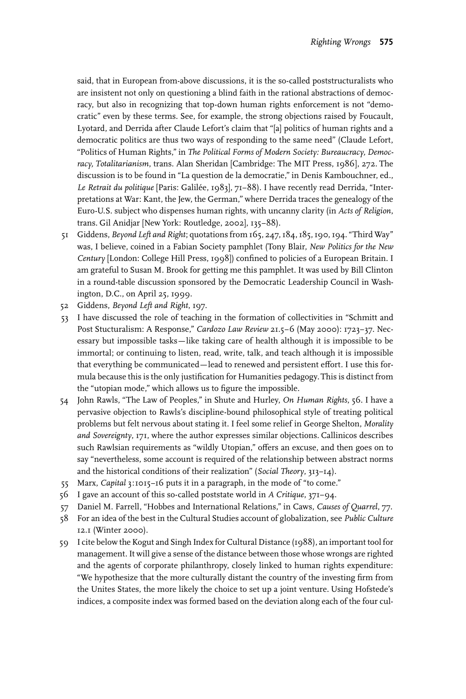said, that in European from-above discussions, it is the so-called poststructuralists who are insistent not only on questioning a blind faith in the rational abstractions of democracy, but also in recognizing that top-down human rights enforcement is not "democratic'' even by these terms. See, for example, the strong objections raised by Foucault, Lyotard, and Derrida after Claude Lefort's claim that ''[a] politics of human rights and a democratic politics are thus two ways of responding to the same need'' (Claude Lefort, ''Politics of Human Rights,'' in The Political Forms of Modern Society: Bureaucracy, Democracy, Totalitarianism, trans. Alan Sheridan [Cambridge: The MIT Press, 1986], 272. The discussion is to be found in ''La question de la democratie,'' in Denis Kambouchner, ed., Le Retrait du politique [Paris: Galilée, 1983], 71-88). I have recently read Derrida, "Interpretations at War: Kant, the Jew, the German,'' where Derrida traces the genealogy of the Euro-U.S. subject who dispenses human rights, with uncanny clarity (in Acts of Religion, trans. Gil Anidjar [New York: Routledge, 2002], 135–88).

- 51 Giddens, Beyond Left and Right; quotations from 165, 247, 184, 185, 190, 194. ''Third Way'' was, I believe, coined in a Fabian Society pamphlet (Tony Blair, New Politics for the New Century [London: College Hill Press, 1998]) confined to policies of a European Britain. I am grateful to Susan M. Brook for getting me this pamphlet. It was used by Bill Clinton in a round-table discussion sponsored by the Democratic Leadership Council in Washington, D.C., on April 25, 1999.
- 52 Giddens, Beyond Left and Right, 197.
- 53 I have discussed the role of teaching in the formation of collectivities in "Schmitt and Post Stucturalism: A Response," Cardozo Law Review 21.5-6 (May 2000): 1723-37. Necessary but impossible tasks—like taking care of health although it is impossible to be immortal; or continuing to listen, read, write, talk, and teach although it is impossible that everything be communicated—lead to renewed and persistent effort. I use this formula because this is the only justification for Humanities pedagogy. This is distinct from the "utopian mode," which allows us to figure the impossible.
- 54 John Rawls, ''The Law of Peoples,'' in Shute and Hurley, On Human Rights, 56. I have a pervasive objection to Rawls's discipline-bound philosophical style of treating political problems but felt nervous about stating it. I feel some relief in George Shelton, Morality and Sovereignty, 171, where the author expresses similar objections. Callinicos describes such Rawlsian requirements as ''wildly Utopian,'' offers an excuse, and then goes on to say "nevertheless, some account is required of the relationship between abstract norms and the historical conditions of their realization'' (Social Theory, 313–14).
- 55 Marx, Capital 3:1015–16 puts it in a paragraph, in the mode of ''to come.''
- 56 I gave an account of this so-called poststate world in A Critique, 371–94.
- 57 Daniel M. Farrell, "Hobbes and International Relations," in Caws, Causes of Quarrel, 77.
- 58 For an idea of the best in the Cultural Studies account of globalization, see Public Culture 12.1 (Winter 2000).
- 59 I cite below the Kogut and Singh Index for Cultural Distance (1988), an important tool for management. It will give a sense of the distance between those whose wrongs are righted and the agents of corporate philanthropy, closely linked to human rights expenditure: ''We hypothesize that the more culturally distant the country of the investing firm from the Unites States, the more likely the choice to set up a joint venture. Using Hofstede's indices, a composite index was formed based on the deviation along each of the four cul-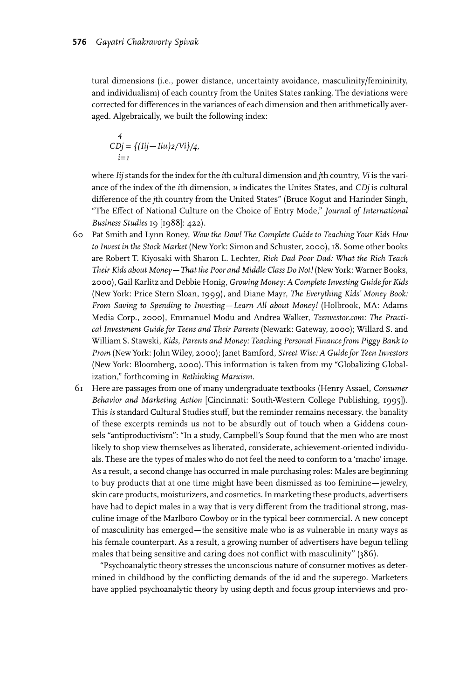tural dimensions (i.e., power distance, uncertainty avoidance, masculinity/femininity, and individualism) of each country from the Unites States ranking. The deviations were corrected for differences in the variances of each dimension and then arithmetically averaged. Algebraically, we built the following index:

$$
CDj = \{ (Iij - Iiu) \frac{2}{Vi} \} / 4,
$$
  

$$
i = 1
$$

where Iij stands for the index for the ith cultural dimension and jth country, Vi is the variance of the index of the *i*th dimension, u indicates the Unites States, and CDj is cultural difference of the jth country from the United States'' (Bruce Kogut and Harinder Singh, ''The Effect of National Culture on the Choice of Entry Mode,'' Journal of International Business Studies 19 [1988]: 422).

- 60 Pat Smith and Lynn Roney, Wow the Dow! The Complete Guide to Teaching Your Kids How to Invest in the Stock Market (New York: Simon and Schuster, 2000), 18. Some other books are Robert T. Kiyosaki with Sharon L. Lechter, Rich Dad Poor Dad: What the Rich Teach Their Kids about Money—That the Poor and Middle Class Do Not! (New York: Warner Books, 2000),Gail Karlitz and Debbie Honig, Growing Money: A Complete Investing Guide for Kids (New York: Price Stern Sloan, 1999), and Diane Mayr, The Everything Kids' Money Book: From Saving to Spending to Investing—Learn All about Money! (Holbrook, MA: Adams Media Corp., 2000), Emmanuel Modu and Andrea Walker, Teenvestor.com: The Practical Investment Guide for Teens and Their Parents (Newark: Gateway, 2000); Willard S. and William S. Stawski, Kids, Parents and Money: Teaching Personal Finance from Piggy Bank to Prom (New York: John Wiley, 2000); Janet Bamford, Street Wise: A Guide for Teen Investors (New York: Bloomberg, 2000). This information is taken from my ''Globalizing Globalization," forthcoming in Rethinking Marxism.
- 61 Here are passages from one of many undergraduate textbooks (Henry Assael, Consumer Behavior and Marketing Action [Cincinnati: South-Western College Publishing, 1995]). This is standard Cultural Studies stuff, but the reminder remains necessary. the banality of these excerpts reminds us not to be absurdly out of touch when a Giddens counsels "antiproductivism": "In a study, Campbell's Soup found that the men who are most likely to shop view themselves as liberated, considerate, achievement-oriented individuals. These are the types of males who do not feel the need to conform to a 'macho' image. As a result, a second change has occurred in male purchasing roles: Males are beginning to buy products that at one time might have been dismissed as too feminine—jewelry, skin care products, moisturizers, and cosmetics. In marketing these products, advertisers have had to depict males in a way that is very different from the traditional strong, masculine image of the Marlboro Cowboy or in the typical beer commercial. A new concept of masculinity has emerged—the sensitive male who is as vulnerable in many ways as his female counterpart. As a result, a growing number of advertisers have begun telling males that being sensitive and caring does not conflict with masculinity'' (386).

''Psychoanalytic theory stresses the unconscious nature of consumer motives as determined in childhood by the conflicting demands of the id and the superego. Marketers have applied psychoanalytic theory by using depth and focus group interviews and pro-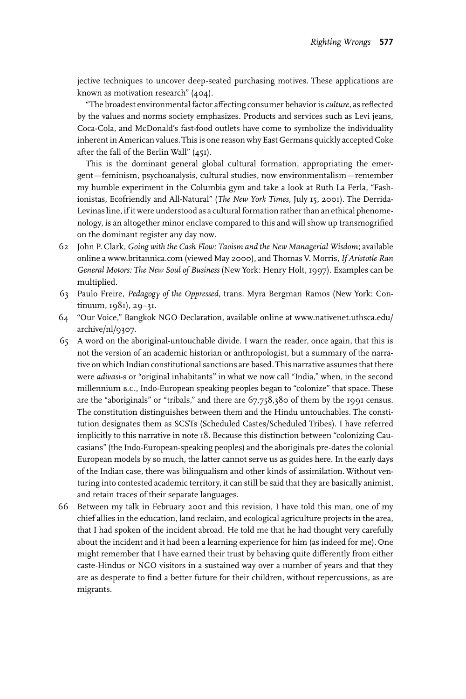jective techniques to uncover deep-seated purchasing motives. These applications are known as motivation research'' (404).

''The broadest environmental factor affecting consumer behavior is culture, as reflected by the values and norms society emphasizes. Products and services such as Levi jeans, Coca-Cola, and McDonald's fast-food outlets have come to symbolize the individuality inherent in American values.This is one reason why East Germans quickly accepted Coke after the fall of the Berlin Wall'' (451).

This is the dominant general global cultural formation, appropriating the emergent—feminism, psychoanalysis, cultural studies, now environmentalism—remember my humble experiment in the Columbia gym and take a look at Ruth La Ferla, ''Fashionistas, Ecofriendly and All-Natural'' (The New York Times, July 15, 2001). The Derrida-Levinas line, if it were understood as a cultural formation rather than an ethical phenomenology, is an altogether minor enclave compared to this and will show up transmogrified on the dominant register any day now.

- 62 John P. Clark, Going with the Cash Flow: Taoism and the New Managerial Wisdom; available online a www.britannica.com (viewed May 2000), and Thomas V. Morris,If Aristotle Ran General Motors: The New Soul of Business (New York: Henry Holt, 1997). Examples can be multiplied.
- 63 Paulo Freire, Pedagogy of the Oppressed, trans. Myra Bergman Ramos (New York: Continuum, 1981), 29–31.
- 64 ''Our Voice,'' Bangkok NGO Declaration, available online at www.nativenet.uthsca.edu/ archive/nl/9307.
- 65 A word on the aboriginal-untouchable divide. I warn the reader, once again, that this is not the version of an academic historian or anthropologist, but a summary of the narrative on which Indian constitutional sanctions are based.This narrative assumes that there were adivasi-s or "original inhabitants" in what we now call "India," when, in the second millennium B.C., Indo-European speaking peoples began to "colonize" that space. These are the "aboriginals" or "tribals," and there are 67,758,380 of them by the 1991 census. The constitution distinguishes between them and the Hindu untouchables. The constitution designates them as SCSTs (Scheduled Castes/Scheduled Tribes). I have referred implicitly to this narrative in note 18. Because this distinction between "colonizing Caucasians'' (the Indo-European-speaking peoples) and the aboriginals pre-dates the colonial European models by so much, the latter cannot serve us as guides here. In the early days of the Indian case, there was bilingualism and other kinds of assimilation. Without venturing into contested academic territory, it can still be said that they are basically animist, and retain traces of their separate languages.
- 66 Between my talk in February 2001 and this revision, I have told this man, one of my chief allies in the education, land reclaim, and ecological agriculture projects in the area, that I had spoken of the incident abroad. He told me that he had thought very carefully about the incident and it had been a learning experience for him (as indeed for me). One might remember that I have earned their trust by behaving quite differently from either caste-Hindus or NGO visitors in a sustained way over a number of years and that they are as desperate to find a better future for their children, without repercussions, as are migrants.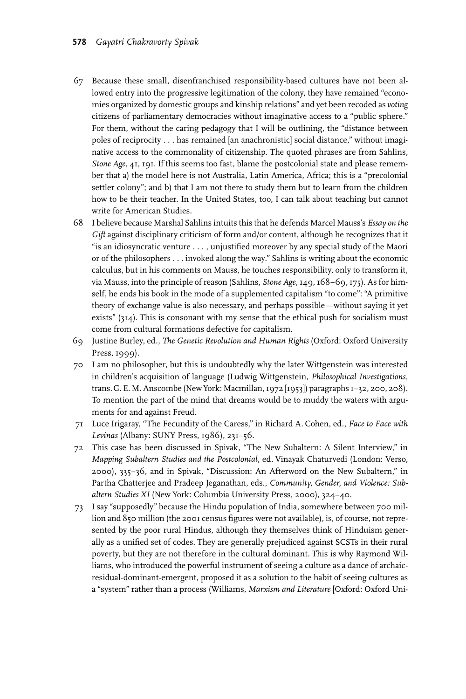- 67 Because these small, disenfranchised responsibility-based cultures have not been allowed entry into the progressive legitimation of the colony, they have remained "economies organized by domestic groups and kinship relations'' and yet been recoded as voting citizens of parliamentary democracies without imaginative access to a ''public sphere.'' For them, without the caring pedagogy that I will be outlining, the "distance between poles of reciprocity . . . has remained [an anachronistic] social distance," without imaginative access to the commonality of citizenship. The quoted phrases are from Sahlins, Stone Age, 41, 191. If this seems too fast, blame the postcolonial state and please remember that a) the model here is not Australia, Latin America, Africa; this is a "precolonial settler colony''; and b) that I am not there to study them but to learn from the children how to be their teacher. In the United States, too, I can talk about teaching but cannot write for American Studies.
- 68 I believe because Marshal Sahlins intuits this that he defends Marcel Mauss's Essay on the Gift against disciplinary criticism of form and/or content, although he recognizes that it "is an idiosyncratic venture . . . , unjustified moreover by any special study of the Maori or of the philosophers . . . invoked along the way.'' Sahlins is writing about the economic calculus, but in his comments on Mauss, he touches responsibility, only to transform it, via Mauss, into the principle of reason (Sahlins, Stone Age, 149, 168–69, 175). As for himself, he ends his book in the mode of a supplemented capitalism "to come": "A primitive theory of exchange value is also necessary, and perhaps possible—without saying it yet exists'' (314). This is consonant with my sense that the ethical push for socialism must come from cultural formations defective for capitalism.
- 69 Justine Burley, ed., The Genetic Revolution and Human Rights (Oxford: Oxford University Press, 1999).
- 70 I am no philosopher, but this is undoubtedly why the later Wittgenstein was interested in children's acquisition of language (Ludwig Wittgenstein, Philosophical Investigations, trans.G. E. M. Anscombe (New York: Macmillan, 1972 [1953]) paragraphs 1–32, 200, 208). To mention the part of the mind that dreams would be to muddy the waters with arguments for and against Freud.
- 71 Luce Irigaray, ''The Fecundity of the Caress,'' in Richard A. Cohen, ed., Face to Face with Levinas (Albany: SUNY Press, 1986), 231–56.
- 72 This case has been discussed in Spivak, "The New Subaltern: A Silent Interview," in Mapping Subaltern Studies and the Postcolonial, ed. Vinayak Chaturvedi (London: Verso, 2000), 335–36, and in Spivak, ''Discussion: An Afterword on the New Subaltern,'' in Partha Chatterjee and Pradeep Jeganathan, eds., Community, Gender, and Violence: Subaltern Studies XI (New York: Columbia University Press, 2000), 324–40.
- 73 I say ''supposedly'' because the Hindu population of India, somewhere between 700 million and 850 million (the 2001 census figures were not available), is, of course, not represented by the poor rural Hindus, although they themselves think of Hinduism generally as a unified set of codes. They are generally prejudiced against SCSTs in their rural poverty, but they are not therefore in the cultural dominant. This is why Raymond Williams, who introduced the powerful instrument of seeing a culture as a dance of archaicresidual-dominant-emergent, proposed it as a solution to the habit of seeing cultures as a "system" rather than a process (Williams, Marxism and Literature [Oxford: Oxford Uni-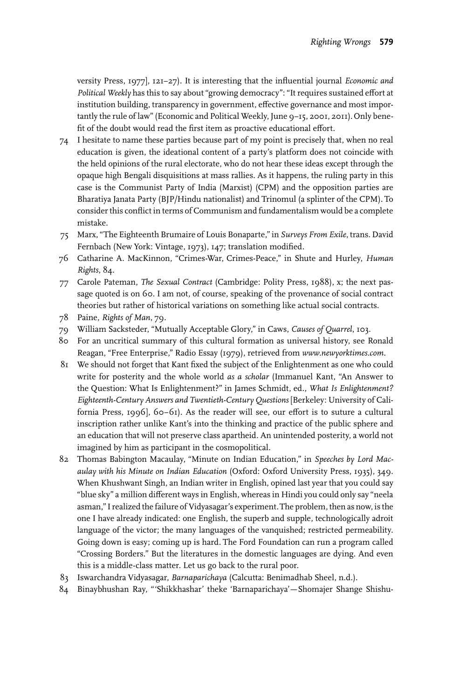versity Press, 1977], 121–27). It is interesting that the influential journal Economic and Political Weekly has this to say about "growing democracy": "It requires sustained effort at institution building, transparency in government, effective governance and most importantly the rule of law'' (Economic and Political Weekly, June 9–15, 2001, 2011). Only benefit of the doubt would read the first item as proactive educational effort.

- 74 I hesitate to name these parties because part of my point is precisely that, when no real education is given, the ideational content of a party's platform does not coincide with the held opinions of the rural electorate, who do not hear these ideas except through the opaque high Bengali disquisitions at mass rallies. As it happens, the ruling party in this case is the Communist Party of India (Marxist) (CPM) and the opposition parties are Bharatiya Janata Party (BJP/Hindu nationalist) and Trinomul (a splinter of the CPM). To consider this conflict in terms of Communism and fundamentalism would be a complete mistake.
- 75 Marx, ''The Eighteenth Brumaire of Louis Bonaparte,'' in Surveys From Exile, trans. David Fernbach (New York: Vintage, 1973), 147; translation modified.
- 76 Catharine A. MacKinnon, ''Crimes-War, Crimes-Peace,'' in Shute and Hurley, Human Rights, 84.
- 77 Carole Pateman, The Sexual Contract (Cambridge: Polity Press, 1988), x; the next passage quoted is on 60. I am not, of course, speaking of the provenance of social contract theories but rather of historical variations on something like actual social contracts.
- 78 Paine, Rights of Man, 79.
- 79 William Sacksteder, ''Mutually Acceptable Glory,'' in Caws, Causes of Quarrel, 103.
- 80 For an uncritical summary of this cultural formation as universal history, see Ronald Reagan, "Free Enterprise," Radio Essay (1979), retrieved from www.newyorktimes.com.
- 81 We should not forget that Kant fixed the subject of the Enlightenment as one who could write for posterity and the whole world as a scholar (Immanuel Kant, "An Answer to the Question: What Is Enlightenment?'' in James Schmidt, ed., What Is Enlightenment? Eighteenth-Century Answers and Twentieth-Century Questions [Berkeley: University of California Press, 1996], 60–61). As the reader will see, our effort is to suture a cultural inscription rather unlike Kant's into the thinking and practice of the public sphere and an education that will not preserve class apartheid. An unintended posterity, a world not imagined by him as participant in the cosmopolitical.
- 82 Thomas Babington Macaulay, ''Minute on Indian Education,'' in Speeches by Lord Macaulay with his Minute on Indian Education (Oxford: Oxford University Press, 1935), 349. When Khushwant Singh, an Indian writer in English, opined last year that you could say ''blue sky'' a million different ways in English, whereas in Hindi you could only say ''neela asman,'' I realized the failure of Vidyasagar's experiment.The problem, then as now, is the one I have already indicated: one English, the superb and supple, technologically adroit language of the victor; the many languages of the vanquished; restricted permeability. Going down is easy; coming up is hard. The Ford Foundation can run a program called ''Crossing Borders.'' But the literatures in the domestic languages are dying. And even this is a middle-class matter. Let us go back to the rural poor.
- 83 Iswarchandra Vidyasagar, Barnaparichaya (Calcutta: Benimadhab Sheel, n.d.).
- 84 Binaybhushan Ray, '''Shikkhashar' theke 'Barnaparichaya'—Shomajer Shange Shishu-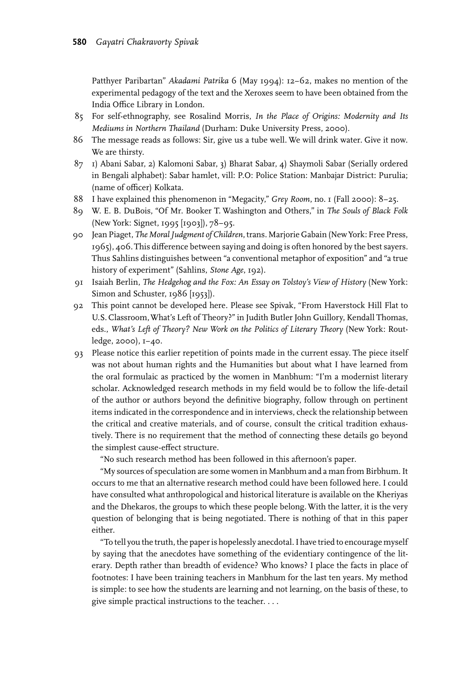Patthyer Paribartan'' Akadami Patrika 6 (May 1994): 12–62, makes no mention of the experimental pedagogy of the text and the Xeroxes seem to have been obtained from the India Office Library in London.

- 85 For self-ethnography, see Rosalind Morris, In the Place of Origins: Modernity and Its Mediums in Northern Thailand (Durham: Duke University Press, 2000).
- 86 The message reads as follows: Sir, give us a tube well. We will drink water. Give it now. We are thirsty.
- 87 1) Abani Sabar, 2) Kalomoni Sabar, 3) Bharat Sabar, 4) Shaymoli Sabar (Serially ordered in Bengali alphabet): Sabar hamlet, vill: P.O: Police Station: Manbajar District: Purulia; (name of officer) Kolkata.
- 88 I have explained this phenomenon in "Megacity," Grey Room, no. 1 (Fall 2000): 8-25.
- 89 W. E. B. DuBois, "Of Mr. Booker T. Washington and Others," in The Souls of Black Folk (New York: Signet, 1995 [1903]), 78–95.
- 90 Jean Piaget, The Moral Judgment of Children, trans. Marjorie Gabain (New York: Free Press, 1965), 406. This difference between saying and doing is often honored by the best sayers. Thus Sahlins distinguishes between "a conventional metaphor of exposition" and "a true history of experiment" (Sahlins, Stone Age, 192).
- 91 Isaiah Berlin, The Hedgehog and the Fox: An Essay on Tolstoy's View of History (New York: Simon and Schuster, 1986 [1953]).
- 92 This point cannot be developed here. Please see Spivak, "From Haverstock Hill Flat to U.S. Classroom,What's Left of Theory?'' in Judith Butler John Guillory, Kendall Thomas, eds., What's Left of Theory? New Work on the Politics of Literary Theory (New York: Routledge, 2000), 1–40.
- 93 Please notice this earlier repetition of points made in the current essay. The piece itself was not about human rights and the Humanities but about what I have learned from the oral formulaic as practiced by the women in Manbhum: ''I'm a modernist literary scholar. Acknowledged research methods in my field would be to follow the life-detail of the author or authors beyond the definitive biography, follow through on pertinent items indicated in the correspondence and in interviews, check the relationship between the critical and creative materials, and of course, consult the critical tradition exhaustively. There is no requirement that the method of connecting these details go beyond the simplest cause-effect structure.

''No such research method has been followed in this afternoon's paper.

''My sources of speculation are some women in Manbhum and a man from Birbhum. It occurs to me that an alternative research method could have been followed here. I could have consulted what anthropological and historical literature is available on the Kheriyas and the Dhekaros, the groups to which these people belong.With the latter, it is the very question of belonging that is being negotiated. There is nothing of that in this paper either.

''To tell you the truth, the paper is hopelessly anecdotal. I have tried to encourage myself by saying that the anecdotes have something of the evidentiary contingence of the literary. Depth rather than breadth of evidence? Who knows? I place the facts in place of footnotes: I have been training teachers in Manbhum for the last ten years. My method is simple: to see how the students are learning and not learning, on the basis of these, to give simple practical instructions to the teacher....